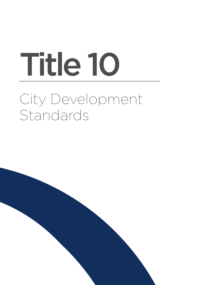# City Development Standards Title 10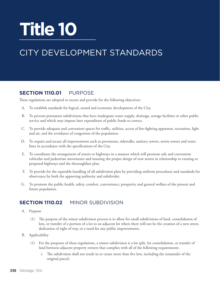## **Title 10**

## CITY DEVELOPMENT STANDARDS

## **Section 1110.01** PURPOSE

These regulations are adopted to secure and provide for the following objectives:

- A. To establish standards for logical, sound and economic development of the City.
- B. To prevent premature subdivisions that have inadequate water supply, drainage, sewage facilities or other public service and which may impose later expenditure of public funds to correct.
- C. To provide adequate and convenient spaces for traffic, utilities, access of fire-fighting apparatus, recreation, light and air, and the avoidance of congestion of the population.
- D. To require and secure all improvements such as pavements, sidewalks, sanitary sewers, storm sewers and water lines in accordance with the specifications of the City.
- E. To coordinate the arrangement of streets or highways in a manner which will promote safe and convenient vehicular and pedestrian movements and insuring the proper design of new streets in relationship to existing or proposed highways and the thoroughfare plan.
- F. To provide for the equitable handling of all subdivision plats by providing uniform procedures and standards for observance by both the approving authority and subdivider.
- G. To promote the public health, safety, comfort, convenience, prosperity and general welfare of the present and future population.

## **Section 1110.02** MINOR SUBDIVISION

- A. Purpose
	- (1) The purpose of the minor subdivision process is to allow for small subdivisions of land, consolidation of lots, or transfer of a portion of a lot to an adjacent lot where there will not be the creation of a new street, dedication of right of way, or a need for any public improvements.
- B. Applicability
	- (1) For the purposes of these regulations, a minor subdivision is a lot split, lot consolidation, or transfer of land between adjacent property owners that complies with all of the following requirements:
		- i. The subdivision shall not result in or create more than five lots, including the remainder of the original parcel;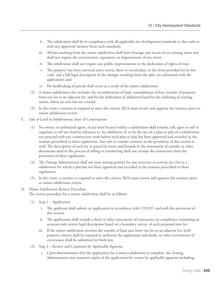- ii. The subdivision shall be in compliance with all applicable site development standards in this code or with any approved variance from such standards;
- iii. All lots resulting from the minor subdivision shall have frontage and access on an existing street and shall not require the construction, expansion, or improvement of any street;
- iv. The subdivision shall not require any public improvements or the dedication of rights-of-way;
- The property has been surveyed and a survey sheet or record plan, in the form provided for in this code, and a full legal description of the changes resulting from the split, are submitted with the application; and
- vi. No landlocking of parcels shall occur as a result of the minor subdivision.
- (2) A minor subdivision also includes the recombination of land, consolidation of lots, transfer of property from one lot to an adjacent lot, and for the dedication of additional land for the widening of existing streets, where no new lots are created.
- (3) In the event a variance is required to meet the criteria, BZA must review and approve the variance prior to minor subdivision review.
- C. Sale of Land in Subdivisions; Start of Construction
	- (1) No owner, or authorized agent, of any land located within a subdivision shall transfer, sell, agree to sell or negotiate to sell any land by reference to, by exhibition of, or by the use of, a plan or plat of a subdivision, nor proceed with any construction work before such plan or plat has been approved and recorded in the manner prescribed in these regulations. Any sale or transfer contrary to the provisions of this section is void. The description of such lot or parcel by metes and bounds in the instrument of transfer or other documents used in the process of selling or transferring shall not exempt the transaction from the provisions of these regulations.
	- (2) The Zoning Administrator shall not issue zoning permits for any structure or activity on a lot in a subdivision for which a plat has not been approved and recorded in the manner prescribed in these regulations.
	- (3) In the event, a variance is required to meet the criteria, BZA must review and approve the variance prior to minor subdivision review.

#### D. Minor Subdivision Review Procedure

The review procedure for a minor subdivision shall be as follows:

- (1) Step 1 Application
	- i. The applicant shall submit an application in accordance with 1102.07, and with the provisions of this section.
	- ii. The application shall include a deed or other instrument of conveyance in compliance containing an accurate and current legal description based on a boundary survey, of each proposed new lot.
	- iii. If the minor subdivision involves the transfer of land area from one lot to an adjacent lot, both property owners shall be required to authorize the application and deeds, or other instruments of conveyance shall be submitted for both lots.
- (2) Step 2 Review and Comment by Applicable Agencies
	- i. Upon determination that the application for a minor subdivision is complete, the Zoning Administrator may transmit copies of the application for review by applicable agencies including,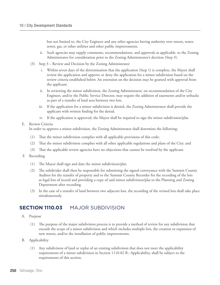but not limited to, the City Engineer and any other agencies having authority over streets, water, sewer, gas, or other utilities and other public improvements.

- ii. Such agencies may supply comments, recommendations, and approvals as applicable, to the Zoning Administrator for consideration prior to the Zoning Administrator's decision (Step 3).
- (3) Step 3 Review and Decision by the Zoning Administrator
	- i. Within seven days of the determination that the application (Step 1) is complete, the Mayor shall review the application and approve or deny the application for a minor subdivision based on the review criteria established below. An extension on the decision may be granted with approval from the applicant.
	- ii. In reviewing the minor subdivision, the Zoning Administrator, on recommendation of the City Engineer, and/or the Public Service Director, may require the addition of easements and/or setbacks as part of a transfer of land area between two lots.
	- iii. If the application for a minor subdivision is denied, the Zoning Administrator shall provide the applicant with written finding for the denial.
	- iv. If the application is approved, the Mayor shall be required to sign the minor subdivision/plat.

#### E. Review Criteria

In order to approve a minor subdivision, the Zoning Administrator shall determine the following:

- (1) That the minor subdivision complies with all applicable provisions of this code;
- (2) That the minor subdivision complies with all other applicable regulations and plans of the City; and
- (3) That the applicable review agencies have no objections that cannot be resolved by the applicant.
- F. Recording
	- (1) The Mayor shall sign and date the minor subdivision/plat.
	- (2) The subdivider shall then be responsible for submitting the signed conveyance with the Summit County Auditor for the transfer of property and to the Summit County Recorder for the recording of the lots as legal lots of record and providing a copy of said minor subdivision/plat to the Planning and Zoning Department after recording.
	- (3) In the case of a transfer of land between two adjacent lots, the recording of the revised lots shall take place simultaneously.

## **Section 1110.03** MAJOR SUBDIVISION

- A. Purpose
	- (1) The purpose of the major subdivision process is to provide a method of review for any subdivision that exceeds the scope of a minor subdivision and which includes multiple lots, the creation or expansion of new streets, and/or the installation of public improvements.
- B. Applicability
	- (1) Any subdivision of land or replat of an existing subdivision that does not meet the applicability requirements of a minor subdivision in Section 1110.02 B.: Applicability, shall be subject to the requirements of this section.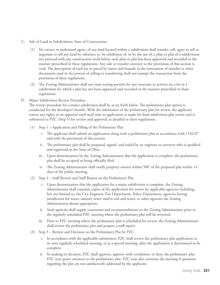- C. Sale of Land in Subdivisions; Start of Construction
	- (1) No owner, or authorized agent, of any land located within a subdivision shall transfer, sell, agree to sell or negotiate to sell any land by reference to, by exhibition of, or by the use of, a plan or plat of a subdivision, nor proceed with any construction work before such plan or plat has been approved and recorded in the manner prescribed in these regulations. Any sale or transfer contrary to the provisions of this section is void. The description of such lot or parcel by metes and bounds in the instrument of transfer or other documents used in the process of selling or transferring shall not exempt the transaction from the provisions of these regulations.
	- (2) The Zoning Administrator shall not issue zoning permits for any structure or activity on a lot in a subdivision for which a plat has not been approved and recorded in the manner prescribed in these regulations.
- D. Major Subdivision Review Procedure

The review procedure for a major subdivision shall be as set forth below. The preliminary plat option is conducted for the developer's benefit. With the submission of the preliminary plat for review, the applicant waives any rights to an approval until such time as application is made for final subdivision plat review and is submitted to PZC (Step 5) for review and approval, as detailed in these regulations.

- (1) Step 1 Application and Filling of the Preliminary Plat
	- i. The applicant shall submit an application along with a preliminary plat in accordance with 1102.07 and with the provisions of this section.
	- ii. The preliminary plat shall be prepared, signed, and sealed by an engineer or surveyor who is qualified and registered in the State of Ohio.
	- iii. Upon determination by the Zoning Administrator that the application is complete, the preliminary plat shall be accepted as being officially filed.
	- iv. The Zoning Administrator shall notify property owners within 500' of the proposed plat within 14 days of the public meeting.
- (2) Step 2 Staff Review and Staff Report on the Preliminary Plat
	- i. Upon determination that the application for a major subdivision is complete, the Zoning Administrator shall transmit copies of the application for review by applicable agencies including, but not limited to, the City Engineer, Fire Department, Police Department, agencies having jurisdiction for water, sanitary sewer and/or soil and water, or other agencies the Zoning Administrator deems appropriate.
	- ii. Such agencies shall supply comments and recommendations to the Zoning Administrator prior to the regularly scheduled PZC meeting where the preliminary plat will be reviewed.
	- iii. Prior to PZC meeting where the preliminary plat is scheduled for review, the Zoning Administrator shall review the preliminary plat and prepare a staff report.
- (3) Step 3 Review and Decision on the Preliminary Plat by PZC
	- i. In accordance with the applicable submission, PZC shall review the preliminary plat application at its next regularly scheduled meeting, or at a special meeting, after the application is determined to be complete.
	- ii. In making its decision, PZC shall approve, approve with conditions, or deny the preliminary plat. PZC may grant variances to the preliminary plat. PZC may also continue the meeting if questions regarding the plat are not satisfactorily addressed by the applicant.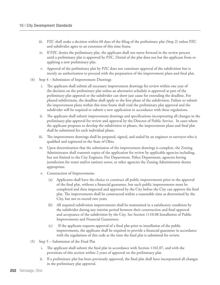- iii. PZC shall make a decision within 60 days of the filing of the preliminary plat (Step 2) unless PZC and subdivider agree to an extension of this time frame.
- iv. If PZC denies the preliminary plat, the applicant shall not move forward in the review process until a preliminary plat is approved by PZC. Denial of the plat does not bar the applicant from reapplying a new preliminary plat.
- v. Approval of the preliminary plat by PZC does not constitute approval of the subdivision but is merely an authorization to proceed with the preparation of the improvement plans and final plat.
- (4) Step 4 Submission of Improvement Drawings
	- i. The applicant shall submit all necessary improvement drawings for review within one year of the decision on the preliminary plat unless an alternative schedule is approved as part of the preliminary plat approval or the subdivider can show just cause for extending the deadline. For phased subdivisions, the deadline shall apply to the first phase of the subdivision. Failure to submit the improvement plans within this time frame shall void the preliminary plat approval and the subdivider will be required to submit a new application in accordance with these regulations.
	- ii. The applicant shall submit improvement drawings and specifications incorporating all changes in the preliminary plat approval for review and approval by the Director of Public Service. In cases where the applicant proposes to develop the subdivision in phases, the improvement plans and final plat shall be submitted for each individual phase.
	- iii. The improvement drawings shall be prepared, signed, and sealed by an engineer or surveyor who is qualified and registered in the State of Ohio.
	- iv. Upon determination that the submission of the improvement drawings is complete, the Zoning Administrator shall transmit copies of the application for review by applicable agencies including, but not limited to the City Engineer, Fire Department, Police Department, agencies having jurisdiction for water and/or sanitary sewer, or other agencies the Zoning Administrator deems appropriate.
	- v. Construction of Improvements
		- Applicants shall have the choice to construct all public improvements prior to the approval of the final plat, without a financial guarantee, but such public improvements must be completed and then inspected and approved by the City before the City can approve the final plat. The improvements shall be constructed within a reasonable time as determined by the City, but not to exceed two years.
		- (b) All required subdivision improvements shall be maintained in a satisfactory condition by the subdivider during any interim period between their construction and final approval and acceptance of the subdivision by the City. See Section 1110.08 Installation of Public Improvements and Financial Guarantees.
		- (c) If the applicant requests approval of a final plat prior to installation of the public improvements, the applicant shall be required to provide a financial guarantee in accordance with the regulations of this code at the time the final plat is submitted for review.
- (5) Step 5 Submission of the Final Plat
	- i. The applicant shall submit the final plat in accordance with Section 1102.07, and with the provisions of this section within 2 years of approval on the preliminary plat.
	- ii. If a preliminary plat has been previously approved, the final plat shall have incorporated all changes in the preliminary plat approval.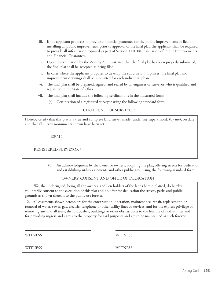- iii. If the applicant proposes to provide a financial guarantee for the public improvements in-lieu of installing all public improvements prior to approval of the final plat, the applicant shall be required to provide all information required as part of Section 1110.08 Installation of Public Improvements and Financial Guarantees.
- iv. Upon determination by the Zoning Administrator that the final plat has been properly submitted, the final plat shall be accepted as being filed.
- v. In cases where the applicant proposes to develop the subdivision in phases, the final plat and improvement drawings shall be submitted for each individual phase.
- The final plat shall be prepared, signed, and sealed by an engineer or surveyor who is qualified and registered in the State of Ohio.
- vii. The final plat shall include the following certifications in the illustrated form:
	- (a) Certification of a registered surveyor using the following standard form:

### CERTIFICATE OF SURVEYOR

I hereby certify that this plat is a true and complete land survey made (under my supervision), (by me), on date and that all survey monuments shown have been set.

(SEAL)

REGISTERED SURVEYOR #

(b) An acknowledgment by the owner or owners, adopting the plat, offering streets for dedication, and establishing utility easements and other public area; using the following standard form:

#### OWNERS' CONSENT AND OFFER OF DEDICATION

 1. We, the undersigned, being all the owners, and lien holders of the lands herein platted, do hereby voluntarily consent to the execution of this plat and do offer for dedication the streets, parks and public grounds as shown thereon to the public use forever.

 2. All easements shown hereon are for the construction, operation, maintenance, repair, replacement, or removal of water, sewer, gas, electric, telephone or other utility lines or services, and for the express privilege of removing any and all trees, shrubs, bushes, buildings or other obstructions to the free use of said utilities and for providing ingress and egress to the property for said purposes and are to be maintained as such forever.

WITNESS WITNESS

 $\overline{a}$ 

 $\overline{a}$ 

WITNESS WITNESS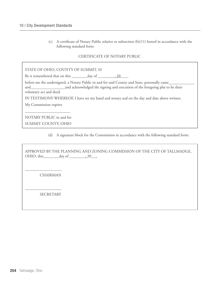(c) A certificate of Notary Public relative to subsection (b)(11) hereof in accordance with the following standard form:

#### CERTIFICATE OF NOTARY PUBLIC

| STATE OF OHIO, COUNTY OF SUMMIT, SS                                                                                                                                                                                                                                                                                                                         |
|-------------------------------------------------------------------------------------------------------------------------------------------------------------------------------------------------------------------------------------------------------------------------------------------------------------------------------------------------------------|
| Be it remembered that on this ________ day of __________, 20                                                                                                                                                                                                                                                                                                |
| before me the undersigned, a Notary Public in and for said County and State, personally came_______<br>and acknowledged the signing and execution of the foregoing plat to be their<br>and <u>the contract of the contract of</u><br>voluntary act and deed.<br>IN TESTIMONY WHEREOF, I have set my hand and notary seal on the day and date above written. |
| My Commission expires                                                                                                                                                                                                                                                                                                                                       |
| NOTARY PUBLIC in and for                                                                                                                                                                                                                                                                                                                                    |

SUMMIT COUNTY, OHIO

(d) A signature block for the Commission in accordance with the following standard form:

APPROVED BY THE PLANNING AND ZONING COMMISSION OF THE CITY OF TALLMADGE, OHIO, this\_\_\_\_\_\_\_\_day of , 20 .

CHAIRMAN

SECRETARY

 $\overline{a}$ 

 $\overline{a}$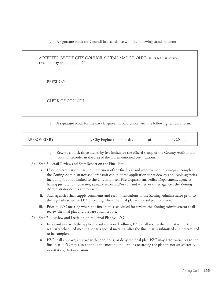(e) A signature block for Council in accordance with the following standard form:

ACCEPTED BY THE CITY COUNCIL OF TALLMADGE, OHIO, at its regular session this  $\_\_day\$  of  $\_\_$ , 20 $\_\_$ 

PRESIDENT

 $\overline{a}$ 

 $\overline{a}$ 

CLERK OF COUNCIL

(f) A signature block for the City Engineer in accordance with the following standard form:

APPROVED BY  $\qquad \qquad$ , City Engineer on this day  $\qquad \qquad$  of  $\qquad \qquad$ , 20  $\qquad$ ,

- (g) Reserve a block three inches by five inches for the official stamp of the County Auditor and County Recorder in the area of the aforementioned certifications.
- (6) Step 6 Staff Review and Staff Report on the Final Plat
	- i. Upon determination that the submission of the final plat and improvement drawings is complete, the Zoning Administrator shall transmit copies of the application for review by applicable agencies including, but not limited to the City Engineer, Fire Department, Police Department, agencies having jurisdiction for water, sanitary sewer and/or soil and water, or other agencies the Zoning Administrator deems appropriate.
	- ii. Such agencies shall supply comments and recommendations to the Zoning Administrator prior to the regularly scheduled PZC meeting where the final plat will be subject to review.
	- iii. Prior to PZC meeting where the final plat is scheduled for review, the Zoning Administrator shall review the final plat and prepare a staff report.
- (7) Step 7 Review and Decision on the Final Plat by PZC
	- i. In accordance with the applicable submission deadlines, PZC shall review the final at its next regularly scheduled meeting, or at a special meeting, after the final plat is submitted and determined to be complete.
	- ii. PZC shall approve, approve with conditions, or deny the final plat. PZC may grant variances to the final plat. PZC may also continue the meeting if questions regarding the plat are not satisfactorily addressed by the applicant.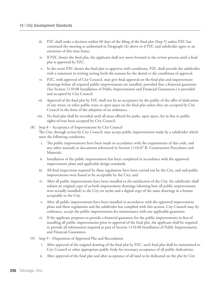- iii. PZC shall make a decision within 60 days of the filing of the final plat (Step 5) unless PZC has continued the meeting as authorized in Paragraph (A) above or if PZC and subdivider agree to an extension of this time frame.
- iv. If PZC denies the final plat, the applicant shall not move forward in the review process until a final plat is approved by PZC.
- v. In the event PZC denies the final plat or approves with conditions, PZC shall provide the subdivider with a statement in writing setting forth the reasons for the denial or the conditions of approval.
- vi. PZC, with approval of City Council, may give final approval on the final plat and improvement drawings before all required public improvements are installed, provided that a financial guarantee (See Section 1110.08 Installation of Public Improvements and Financial Guarantees.) is provided and accepted by City Council.
- vii. Approval of the final plat by PZC shall not be an acceptance by the public of the offer of dedication of any street, or other public ways or open space on the final plat unless they are accepted by City Council in the form of the adoption of an ordinance.
- viii. No final plat shall be recorded until all areas offered for parks, open space, fee in lieu or public rights-of-way been accepted by City Council.

### (8) Step 8 – Acceptance of Improvements by City Council The City, through action by City Council, may accept public improvements made by a subdivider which meet the following conditions:

- i. The public improvements have been made in accordance with the requirements of this code, and any other manuals or documents referenced in Section 1110.07 B. Construction Procedures and Materials.
- ii. Installation of the public improvements has been completed in accordance with the approved improvement plans and applicable design standards.
- iii. All final inspections required by these regulations have been carried out by the City, and said public improvements were found to be acceptable by the City; and
- iv. After all public improvements have been installed to the satisfaction of the City, the subdivider shall submit an original copy of as-built improvement drawings (showing how all public improvements were actually installed) to the City on mylar and a digital copy of the same drawings in a format acceptable to the City.
- v. After all public improvements have been installed in accordance with the approved improvement plans and these regulations and the subdivider has complied with this section, City Council may, by ordinance, accept the public improvements for maintenance with any applicable guarantee.
- vi. If the applicant proposes to provide a financial guarantee for the public improvements in-lieu of installing all public improvements prior to approval of the final plat, the applicant shall be required to provide all information required as part of Section 1110.08 Installation of Public Improvements and Financial Guarantees.
- (9) Step 9 Disposition of Approved Plat and Recordation
	- i. After approval of the original drawing of the final plat by PZC, such final plat shall be transmitted to City Council or other appropriate public body for necessary acceptance of all public dedications.
	- ii. After approval of the final plat and after acceptance of all land to be dedicated on the plat by City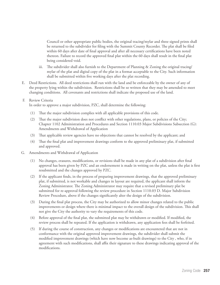Council or other appropriate public bodies, the original tracing/mylar and three signed prints shall be returned to the subdivider for filing with the Summit County Recorder. The plat shall be filed within 60 days after date of final approval and after all necessary certifications have been noted thereon. Failure to record the approved final plat within the 60 days shall result in the final plat being considered void.

- iii. The subdivider shall also furnish to the Department of Planning & Zoning the original tracing/ mylar of the plat and digital copy of the plat in a format acceptable to the City. Such information shall be submitted within five working days after the plat recording.
- E. Deed Restrictions. All deed restrictions shall run with the land and be enforceable by the owner of any of the property lying within the subdivision. Restrictions shall be so written that they may be amended to meet changing conditions. All covenants and restrictions shall indicate the proposed use of the land.

#### F. Review Criteria

In order to approve a major subdivision, PZC, shall determine the following:

- (1) That the major subdivision complies with all applicable provisions of this code.
- (2) That the major subdivision does not conflict with other regulations, plans, or policies of the City; Chapter 1102 Administration and Procedures and Section 1110.03 Major Subdivisions Subsection (G): Amendments and Withdrawal of Application
- (3) That applicable review agencies have no objections that cannot be resolved by the applicant; and
- (4) That the final plat and improvement drawings conform to the approved preliminary plat, if submitted and approved.
- G. Amendments and Withdrawal of Application
	- (1) No changes, erasures, modifications, or revisions shall be made in any plat of a subdivision after final approval has been given by PZC and an endorsement is made in writing on the plat, unless the plat is first resubmitted and the changes approved by PZC.
	- (2) If the applicant finds, in the process of preparing improvement drawings, that the approved preliminary plat, if submitted, is not workable and changes in layout are required, the applicant shall inform the Zoning Administrator. The Zoning Administrator may require that a revised preliminary plat be submitted for re-approval following the review procedure in Section 1110.03 D. Major Subdivision Review Procedure, above if the changes significantly alter the design of the subdivision.
	- (3) During the final plat process, the City may be authorized to allow minor changes related to the public improvements or design where there is minimal impact to the overall design of the subdivision. This shall not give the City the authority to vary the requirements of this code.
	- (4) Before approval of the final plat, the submitted plat may be withdrawn or modified. If modified, the review process shall be repeated. If the application is withdrawn, any application fees shall be forfeited.
	- (5) If during the course of construction, any changes or modifications are encountered that are not in conformance with the original approved improvement drawings, the subdivider shall submit the modified improvement drawings (which have now become as-built drawings) to the City , who, if in agreement with such modifications, shall affix their signature to these drawings indicating approval of the modifications.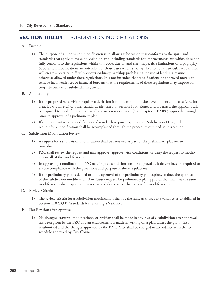## **Section 1110.04** SUBDIVISION MODIFICATIONS

- A. Purpose
	- (1) The purpose of a subdivision modification is to allow a subdivision that conforms to the spirit and standards that apply to the subdivision of land including standards for improvements but which does not fully conform to the regulations within this code, due to land size, shape, title limitations or topography. Subdivision modifications are intended for those cases where strict application of a particular requirement will create a practical difficulty or extraordinary hardship prohibiting the use of land in a manner otherwise allowed under these regulations. It is not intended that modifications be approved merely to remove inconveniences or financial burdens that the requirements of these regulations may impose on property owners or subdivider in general.
- B. Applicability
	- (1) If the proposed subdivision requires a deviation from the minimum site development standards (e.g., lot area, lot width, etc.) or other standards identified in Section 1103 Zones and Overlays, the applicant will be required to apply for and receive all the necessary variance (See Chapter 1102.09.) approvals through prior to approval of a preliminary plat.
	- (2) If the applicant seeks a modification of standards required by this code Subdivision Design, then the request for a modification shall be accomplished through the procedure outlined in this section.
- C. Subdivision Modification Review
	- (1) A request for a subdivision modification shall be reviewed as part of the preliminary plat review procedure.
	- (2) PZC shall review the request and may approve, approve with conditions, or deny the request to modify any or all of the modifications.
	- (3) In approving a modification, PZC may impose conditions on the approval as it determines are required to ensure compliance with the provisions and purpose of these regulations.
	- (4) If the preliminary plat is denied or if the approval of the preliminary plat expires, so does the approval of the subdivision modification. Any future request for preliminary plat approval that includes the same modifications shall require a new review and decision on the request for modifications.
- D. Review Criteria
	- (1) The review criteria for a subdivision modification shall be the same as those for a variance as established in Section 1102.09 B. Standards for Granting a Variance.
- E. Plat Revision after Approval
	- (1) No changes, erasures, modifications, or revision shall be made in any plat of a subdivision after approval has been given by the PZC and an endorsement is made in writing on a plat, unless the plat is first resubmitted and the changes approved by the PZC. A fee shall be charged in accordance with the fee schedule approved by City Council.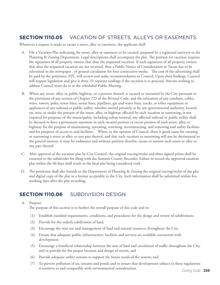## **Section 1110.05** VACATION OF STREETS, ALLEYS OR EASEMENTS

Whenever a request is made to vacate a street, alley or easement, the applicant shall

- A. File a Vacation Plat indicating the street, alley or easement to be vacated, prepared by a registered surveyor to the Planning & Zoning Department. Legal descriptions shall accompany the plat. The petition for vacation requires the signatures of all property owners that abut the requested vacation. If such signatures of all property owners that abut the requested vacation are not received, then a Public Notice of Consideration to Vacate has to be advertised in the newspaper of general circulation for four consecutive weeks. The cost of the advertising shall be paid by the petitioner. PZC will review and make recommendation to Council. Upon their findings, Council will request legislation and give it three (3) separate readings if the vacation is to proceed. Anyone wishing to address Council must do so at the scheduled Public Meeting .
- B. When any street, alley, or public highway, or a portion thereof, is vacated or narrowed by the City pursuant to the provisions of any section of Chapter 723 of the Revised Code, and the relocation of any conduits, cables, wires, towers, poles, sewer lines, steam lines, pipelines, gas and water lines, tracks, or other equipment or appliances of any railroad or public utility, whether owned privately or by any governmental authority, located on, over, or under the portion of the street, alley, or highway affected by such vacation or narrowing, is not required for purposes of the municipality, including urban renewal, any affected railroad or public utility shall be deemed to have a permanent easement in such vacated portion or excess portion of such street, alley, or highway for the purpose of maintaining, operating, renewing, reconstructing, and removing said utility facilities and for purposes of access to said facilities. When, in the opinion of Council, there is good cause for vacating or narrowing a street or alley, or any part thereof, and that such vacation or narrowing will not be detrimental to the general interest, it may, by ordinance and without petition therefor, vacate or narrow such street or alley or any part thereof.
- C. After approval of the vacation plat by City Council, the original tracing/mylar and three signed prints shall be returned to the subdivider for filing with the Summit County Recorder. Failure to record the approved vacation plat within the 60 days shall result in the final plat being considered void.
- D. The petitioner shall also furnish to the Department of Planning & Zoning the original tracing/mylar of the plat and digital copy of the plat in a format acceptable to the City. Such information shall be submitted within five working days after the plat recording.

## **Section 1110.06** SUBDIVISION DESIGN

#### A. Purpose

The purpose of this section is to further the overall purpose of this code and to:

- (1) Establish standard requirements, conditions, and procedures for the design and review of subdivisions.
- (2) Provide for the orderly subdivision of land.
- (3) Encourage the wise use and management of land and natural resources throughout the City.
- (4) Ensure that adequate public infrastructure, facilities and services are available concurrent with development.
- (5) Encourage a beneficial relationship between the uses of land and circulation of traffic throughout the City, and to provide for the proper location and design of streets; and
- (6) Provide adequate utility systems to support the future needs of the system; and
- (7) To prevent pollution of air, streams and ponds and to ensure that development subject to these regulations is sensitive to and compatible with environmental consideration.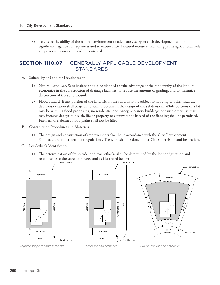(8) To ensure the ability of the natural environment to adequately support such development without significant negative consequences and to ensure critical natural resources including prime agricultural soils are preserved, conserved and/or protected.

## **Section 1110.07** GENERALLY APPLICABLE DEVELOPMENT STANDARDS

- A. Suitability of Land for Development
	- (1) Natural Land Use. Subdivisions should be planned to take advantage of the topography of the land, to economize in the construction of drainage facilities, to reduce the amount of grading, and to minimize destruction of trees and topsoil.
	- (2) Flood Hazard. If any portion of the land within the subdivision is subject to flooding or other hazards, due consideration shall be given to such problems in the design of the subdivision. While portions of a lot may be within a flood prone area, no residential occupancy, accessory buildings nor such other use that may increase danger to health, life or property or aggravate the hazard of the flooding shall be permitted. Furthermore, defined flood plains shall not be filled.
- B. Construction Procedures and Materials
	- (1) The design and construction of improvements shall be in accordance with the City Development Standards and other pertinent regulations. The work shall be done under City supervision and inspection.
- C. Lot Setback Identification
	- (1) The determination of front, side, and rear setbacks shall be determined by the lot configuration and relationship to the street or streets, and as illustrated below:





*Regular-shape lot and setbacks.*

*Corner lot and setbacks.*

*Cul-de-sac lot and setbacks.*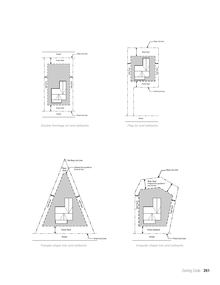

*Double-frontage lot and setbacks. Flag lot and setbacks.*







*Triangle-shape lots and setbacks Irregular-shape lots and setbacks*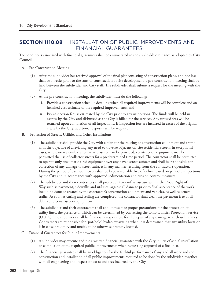## **Section 1110.08** INSTALLATION OF PUBLIC IMPROVEMENTS AND FINANCIAL GUARANTEES

The conditions associated with financial guarantees shall be enumerated in the applicable ordinance as adopted by City Council.

- A. Pre-Construction Meeting
	- (1) After the subdivider has received approval of the final plat consisting of construction plans, and not less than two weeks prior to the start of construction or site development, a pre-construction meeting shall be held between the subdivider and City staff. The subdivider shall submit a request for the meeting with the City.
	- (2) At the pre-construction meeting, the subdivider must do the following:
		- i. Provide a construction schedule detailing when all required improvements will be complete and an itemized cost estimate of the required improvements; and
		- ii. Pay inspection fees as estimated by the City prior to any inspections. The funds will be held in escrow by the City and disbursed as the City is billed for the services. Any unused fees will be returned upon completion of all inspections. If inspection fees are incurred in excess of the original estate by the City, additional deposits will be required.
- B. Protection of Streets, Utilities and Other Installations
	- (1) The subdivider shall provide the City with a plan for the routing of construction equipment and traffic with the objective of alleviating any need to traverse adjacent off-site residential streets. In exceptional cases, where no reasonable alternative exists or can be provided, construction equipment may be permitted the use of collector streets for a predetermined time period. The contractor shall be permitted to operate only pneumatic-tired equipment over any paved street surfaces and shall be responsible for correction of any damage to street surfaces in any manner resulting from the contractor's operation. During the period of use, such streets shall be kept reasonably free of debris, based on periodic inspections by the City and in accordance with approved sedimentation and erosion control measures.
	- (2) The subdivider and their contractors shall protect all City infrastructure within the Road Right of Way such as pavement, sidewalks and utilities against all damage prior to final acceptance of the work including damage created by the contractor's construction equipment and vehicles, as well as general traffic. As soon as curing and sealing are completed, the contractor shall clean the pavement free of all debris and construction equipment.
	- (3) The subdivider and their contractors shall at all times take proper precautions for the protection of utility lines, the presence of which can be determined by contacting the Ohio Utilities Protection Service (OUPS). The subdivider shall be financially responsible for the repair of any damage to such utility lines. Contractors are responsible for "pot-hole" hydro-excavating when it is determined that any utility location is in close proximity and unable to be otherwise properly located.
- C. Financial Guarantees for Public Improvements
	- (1) A subdivider may execute and file a written financial guarantee with the City in lieu of actual installation or completion of the required public improvements when requesting approval of a final plat.
	- (2) The financial guarantee shall be an obligation for the faithful performance of any and all work and the construction and installation of all public improvements required to be done by the subdivider, together with all engineering and inspection costs and fees incurred by the City.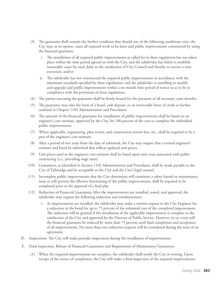- (3) The guarantee shall contain the further condition that should one of the following conditions exist, the City may, at its option, cause all required work to be done and public improvements constructed by using the financial guarantee.
	- i. The installation of all required public improvements as called for in these regulations has not taken place within the time period agreed on with the City, and the subdivider has failed to establish reasonable cause for such delay to the satisfaction of City Council and thereby to receive a time extension; and/or
	- ii. The subdivider has not constructed the required public improvements in accordance with the minimum standards specified by these regulations, and the subdivider is unwilling to modify and upgrade said public improvements within a six-month time period of notice so as to be in compliance with the provisions of these regulations.
- (4) The parties executing the guarantee shall be firmly bound for the payment of all necessary costs therefor.
- (5) The guarantee may take the form of a bond, cash deposit, or an irrevocable letter of credit as further outlined in Chapter 1102 Administration and Procedures.
- (6) The amount of the financial guarantee for installation of public improvements shall be based on an engineer's cost estimate, approved by the City, for 100 percent of the cost to complete the unfinished public improvements.
- (7) Where applicable, engineering, plan review, and construction review fees, etc., shall be required to be a part of the engineer's cost estimate.
- (8) After a period of two years from the date of submittal, the City may require that a revised engineer's estimate and bond be submitted that reflects updated unit prices.
- (9) Unit prices used in the engineers cost estimate shall be based upon unit costs associated with public contracting (i.e., prevailing wage rates).
- (10) Guarantees, as identified in Section 1102 Administration and Procedures, shall be made payable to the City of Tallmadge and be acceptable to the City and the City's legal counsel.
- (11) Incomplete public improvements that the City determines will constitute a safety hazard or maintenance issue or will prevent the effective functioning of the public improvements, shall be required to be completed prior to the approval of a final plat.
- (12) Reduction of Financial Guarantees After the improvements are installed, tested, and approved, the subdivider may request the following reduction and reimbursement:
	- i. As improvements are installed, the subdivider may make a written request to the City Engineer for a reduction in the bond for up to 75 percent of the estimated cost of the completed improvement. The reduction will be granted if the installation of the applicable improvement is complete to the satisfaction of the City and approved by the Director of Public Service. However, in no event will the financial guarantee be reduced by more than 75 percent until final completion and acceptance of all improvements. No more than two reduction requests will be considered during the term of an agreement.
- D. Inspections: The City will make periodic inspections during the installation of improvements.
- E. Final Inspection, Release of Financial Guarantees and Requirement of Maintenance Guarantees
	- (1) When the required improvements are complete, the subdivider shall notify the City in writing. Upon receipt of the notice of completion, the City will make a final inspection of the required improvements.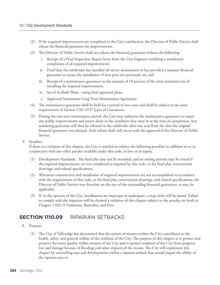- (2) If the required improvements are completed to the City's satisfaction, the Director of Public Service shall release the financial guarantee for improvements.
- (3) The Director of Public Service shall not release the financial guarantee without the following:
	- i. Receipt of a Final Inspection Report letter from the City Engineer certifying a satisfactory completion of all required improvements.
	- ii. Proof that the subdivider has installed all survey monuments or has provided a separate financial guarantee to secure the installation of iron pins not previously set; and
	- iii. Receipt of a maintenance guarantee in the amount of 10 percent of the total estimated cost of installing the required improvements.
	- iv. Set of As-Built Plans using final approved plans.
	- v. Approved Stormwater Long Term Maintenance Agreement
- (4) The maintenance guarantee shall be held for a period of two years and shall be subject to the same requirements of Section 1102.19 P. Types of Guarantees.
- (5) During the two-year maintenance period, the City may authorize the maintenance guarantee to repair any public improvements and return them to the condition they were in at the time of completion. Any remaining guarantee will then be released to the subdivider after one year from the date the original financial guarantee was released. Such release shall only occur with the approval of the Director of Public Service.
- F. Penalties

If there is a violation of this chapter, the City is entitled to enforce the following penalties in addition to or in conjunction with any other penalty available under this code, in law, or in equity.

- (1) Development Standards. The final plat may not be recorded, and no zoning permits may be issued if the required improvements are not completed as required by this code, or the final plat, construction drawings, and related specifications.
- (2) Whenever construction and installation of required improvements are not accomplished in accordance with the requirements of this code, or the final plat, construction drawings, and related specifications, the Director of Public Service may foreclose on the any of the outstanding financial guarantees, as may be applicable.
- (3) If, in the opinion of the City, installations are improper or inadequate, a stop order will be issued. Failure to comply with the inspector will be deemed a violation of this chapter subject to the penalty set forth in Chapter 1102.19 Violations, Remedies, and Fees.

## **Section 1110.09** RIPARIAN SETBACKS

- A. Purpose.
	- (1) The City of Tallmadge has determined that the system of streams within the City contributes to the health, safety, and general welfare of the residents of the City. The purpose of this chapter is to protect and preserve the water quality within streams of the City and to protect residents of the City from property loss and damage because of flooding and other impacts of the stream. The City will implement this chapter by controlling uses and developments within a riparian setback that would impair the ability of the riparian area to: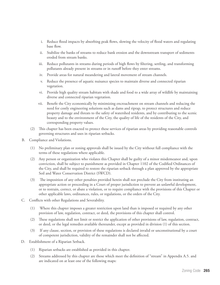- i. Reduce flood impacts by absorbing peak flows, slowing the velocity of flood waters and regulating base flow.
- ii. Stabilize the banks of streams to reduce bank erosion and the downstream transport of sediments eroded from stream banks.
- iii. Reduce pollutants in streams during periods of high flows by filtering, settling, and transforming pollutants already present in streams or in runoff before they enter streams.
- iv. Provide areas for natural meandering and lateral movement of stream channels.
- v. Reduce the presence of aquatic nuisance species to maintain diverse and connected riparian vegetation.
- vi. Provide high quality stream habitats with shade and food to a wide array of wildlife by maintaining diverse and connected riparian vegetation.
- vii. Benefit the City economically by minimizing encroachment on stream channels and reducing the need for costly engineering solutions such as dams and riprap, to protect structures and reduce property damage and threats to the safety of watershed residents, and by contributing to the scenic beauty and to the environment of the City, the quality of life of the residents of the City, and corresponding property values.
- (2) This chapter has been enacted to protect these services of riparian areas by providing reasonable controls governing structures and uses in riparian setbacks.
- B. Compliance and Violations.
	- (1) No preliminary plan or zoning approvals shall be issued by the City without full compliance with the terms of these regulations where applicable.
	- (2) Any person or organization who violates this Chapter shall be guilty of a minor misdemeanor and, upon conviction, shall be subject to punishment as provided in Chapter 1102 of the Codified Ordinances of the City, and shall be required to restore the riparian setback through a plan approved by the appropriate Soil and Water Conservation District (SWCD).
	- (3) The imposition of any other penalties provided herein shall not preclude the City from instituting an appropriate action or proceeding in a Court of proper jurisdiction to prevent an unlawful development, or to restrain, correct, or abate a violation, or to require compliance with the provisions of this Chapter or other applicable laws, ordinances, rules, or regulations, or the orders of the City.
- C. Conflicts with other Regulations and Severability.
	- (1) Where this chapter imposes a greater restriction upon land than is imposed or required by any other provision of law, regulation, contract, or deed, the provisions of this chapter shall control.
	- (2) These regulations shall not limit or restrict the application of other provisions of law, regulation, contract, or deed, or the legal remedies available thereunder, except as provided in division (1) of this section.
	- (3) If any clause, section, or provision of these regulations is declared invalid or unconstitutional by a court of competent jurisdiction, validity of the remainder shall not be affected.
- D. Establishment of a Riparian Setback.
	- (1) Riparian setbacks are established as provided in this chapter.
	- (2) Streams addressed by this chapter are those which meet the definition of "stream" in Appendix A.5. and are indicated on at least one of the following maps: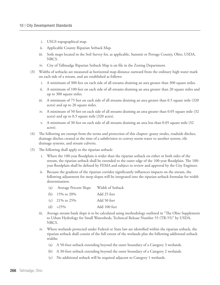- i. USGS topographical map.
- ii. Applicable County Riparian Setback Map.
- iii. Soils maps located in the Soil Survey for, as applicable, Summit or Portage County, Ohio, USDA, NRCS.
- iv. City of Tallmadge Riparian Setback Map is on file in the Zoning Department.
- (3) Widths of setbacks are measured as horizontal map distance outward from the ordinary high water mark on each side of a stream, and are established as follows:
	- i. A minimum of 300 feet on each side of all streams draining an area greater than 300 square miles.
	- ii. A minimum of 100 feet on each side of all streams draining an area greater than 20 square miles and up to 300 square miles.
	- iii. A minimum of 75 feet on each side of all streams draining an area greater than 0.5 square mile (320 acres) and up to 20 square miles.
	- iv. A minimum of 50 feet on each side of all streams draining an area greater than 0.05 square mile (32 acres) and up to 0.5 square mile (320 acres).
	- v. A minimum of 30 feet on each side of all streams draining an area less than 0.05 square mile (32 acres).
- (4) The following are exempt from the terms and protection of this chapter: grassy swales, roadside ditches, drainage ditches created at the time of a subdivision to convey storm water to another system, tile drainage systems, and stream culverts.
- (5) The following shall apply to the riparian setback:
	- i. Where the 100-year floodplain is wider than the riparian setback on either or both sides of the stream, the riparian setback shall be extended to the outer edge of the 100-year floodplain. The 100 year floodplain shall be defined by FEMA and subject to review and approval by the City Engineer.
	- Because the gradient of the riparian corridor significantly influences impacts on the stream, the following adjustment for steep slopes will be integrated into the riparian setback formulae for width determination:
		- (a) Average Percent Slope Width of Setback
		- (b) 15% to 20% Add 25 feet
		- (c) 21% to 25% Add 50 feet (d) >25% Add 100 feet
	- iii. Average stream bank slope is to be calculated using methodology outlined in "The Ohio Supplement to Urban Hydrology for Small Watersheds, Technical Release Number 55 (TR-55)" by USDA, NRCS.
	- iv. Where wetlands protected under Federal or State law are identified within the riparian setback, the riparian setback shall consist of the full extent of the wetlands plus the following additional setback widths:
		- (a) A 50-foot setback extending beyond the outer boundary of a Category 3 wetlands.
		- (b) A 30-foot setback extending beyond the outer boundary of a Category 2 wetlands.
		- (c) No additional setback will be required adjacent to Category 1 wetlands.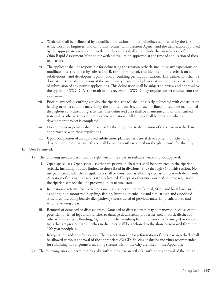- v. Wetlands shall be delineated by a qualified professional under guidelines established by the U.S. Army Corps of Engineers and Ohio Environmental Protection Agency and the delineation approved by the appropriate agencies. All wetland delineations shall also include the latest version of the Ohio Rapid Assessment Method for wetland evaluation approved at the time of application of these regulations.
- vi. The applicant shall be responsible for delineating the riparian setback, including any expansions or modifications as required by subsections ii. through v. hereof, and identifying this setback on all subdivisions, land development plans, and/or building permit applications. This delineation shall be done at the time of application of the preliminary plans, or all plans that are required, or at the time of submission of any permit applications. This delineation shall be subject to review and approval by the applicable SWCD. As the result of this review, the SWCD may require further studies from the applicant.
- vii. Prior to any soil-disturbing activity, the riparian setback shall be clearly delineated with construction fencing or other suitable material by the applicant on site, and such delineation shall be maintained throughout soil- disturbing activities. The delineated area shall be maintained in an undisturbed state unless otherwise permitted by these regulations. All fencing shall be removed when a development project is completed.
- viii. No approvals or permits shall be issued by the City prior to delineation of the riparian setback in conformance with these regulations.
- ix. Upon completion of an approved subdivision, planned residential development, or other land development, the riparian setback shall be permanently recorded on the plat records for the City.
- E. Uses Permitted.
	- (1) The following uses are permitted by right within the riparian setbacks without prior approval:
		- i. Open space uses. Open space uses that are passive in character shall be permitted in the riparian setback, including but not limited to those listed in divisions (a)(2) through (4) of this section. No use permitted under these regulations shall be construed as allowing trespass on privately-held lands. Alteration of this natural area is strictly limited. Except as otherwise provided in these regulations, the riparian setback shall be preserved in its natural state.
		- ii. Recreational activity. Passive recreational uses, as permitted by Federal, State, and local laws, such as hiking, non-motorized bicycling, fishing, hunting, picnicking and similar uses and associated structures, including boardwalks, pathways constructed of pervious material, picnic tables, and wildlife viewing areas.
		- iii. Removal of damaged or diseased trees. Damaged or diseased trees may be removed. Because of the potential for felled logs and branches to damage downstream properties and/or block ditches or otherwise exacerbate flooding, logs and branches resulting from the removal of damaged or diseased trees that are greater than 6 inches in diameter shall be anchored to the shore or removed from the 100-year floodplain.
		- iv. Revegetation and/or reforestation. The revegetation and/or reforestation of the riparian setback shall be allowed without approval of the appropriate SWCD. Species of shrubs and vines recommended for stabilizing flood- prone areas along streams within the City are listed in the Appendix.
	- (2) The following uses are permitted by right within the riparian setbacks with prior approval of the design.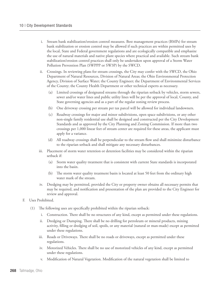- i. Stream bank stabilization/erosion control measures. Best management practices (BMPs) for stream bank stabilization or erosion control may be allowed if such practices are within permitted uses by the local, State and Federal government regulations and are ecologically compatible and emphasize the use of natural materials and native plant species where practical and available. Such stream bank stabilization/erosion control practices shall only be undertaken upon approval of a Storm Water Pollution Prevention Plan (SWPPP or SW3P) by the SWCD.
- ii. Crossings. In reviewing plans for stream crossings, the City may confer with the SWCD, the Ohio Department of Natural Resources, Division of Natural Areas; the Ohio Environmental Protection Agency, Division of Surface Water; the County Engineer; the Department of Environmental Services of the County; the County Health Department or other technical experts as necessary.
	- (a) Limited crossings of designated streams through the riparian setback by vehicles, storm sewers, sewer and/or water lines and public utility lines will be per the approval of local, County, and State governing agencies and as a part of the regular zoning review process.
	- (b) One driveway crossing per stream per tax parcel will be allowed for individual landowners.
	- (c) Roadway crossings for major and minor subdivisions, open space subdivisions, or any other non-single family residential use shall be designed and constructed per the City Development Standards and as approved by the City Planning and Zoning Commission. If more than two crossings per 1,000 linear feet of stream center are required for these areas, the applicant must apply for a variance.
	- (d) All roadway crossings shall be perpendicular to the stream flow and shall minimize disturbance to the riparian setback and shall mitigate any necessary disturbances.
- iii. Placement of storm water retention or detention facilities may be considered within the riparian setback if:
	- (a) Storm water quality treatment that is consistent with current State standards is incorporated into the basin.
	- (b) The storm water quality treatment basin is located at least 50 feet from the ordinary high water mark of the stream.
- iv. Dredging may be permitted, provided the City or property owner obtains all necessary permits that may be required, and notification and presentation of the plan are provided to the City Engineer for review and approval.
- F. Uses Prohibited.
	- (1) The following uses are specifically prohibited within the riparian setback:
		- i. Construction. There shall be no structures of any kind, except as permitted under these regulations.
		- ii. Dredging or Dumping. There shall be no drilling for petroleum or mineral products, mining activity, filling or dredging of soil, spoils, or any material (natural or man-made) except as permitted under these regulations.
		- iii. Roads or Driveways. There shall be no roads or driveways, except as permitted under these regulations.
		- iv. Motorized Vehicles. There shall be no use of motorized vehicles of any kind, except as permitted under these regulations.
		- v. Modification of Natural Vegetation. Modification of the natural vegetation shall be limited to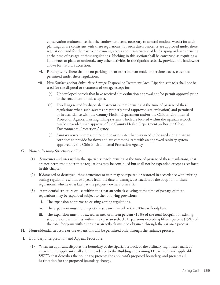conservation maintenance that the landowner deems necessary to control noxious weeds; for such plantings as are consistent with these regulations; for such disturbances as are approved under these regulations; and for the passive enjoyment, access and maintenance of landscaping or lawns existing at the time of passage of these regulations. Nothing in this section shall be construed as requiring a landowner to plant or undertake any other activities in the riparian setback, provided the landowner allows for natural succession.

- vi. Parking Lots. There shall be no parking lots or other human made impervious cover, except as permitted under these regulations.
- vii. New Surface and/or Subsurface Sewage Disposal or Treatment Area. Riparian setbacks shall not be used for the disposal or treatment of sewage except for:
	- (a) Undeveloped parcels that have received site evaluation approval and/or permit approval prior to the enactment of this chapter.
	- (b) Dwellings served by disposal/treatment systems existing at the time of passage of these regulations when such systems are properly sited (approved site evaluation) and permitted or in accordance with the County Health Department and/or the Ohio Environmental Protection Agency. Existing failing systems which are located within the riparian setback can be upgraded with approval of the County Health Department and/or the Ohio Environmental Protection Agency.
	- (c) Sanitary sewer systems, either public or private, that may need to be sited along riparian corridors to provide for flows and are commensurate with an approved sanitary system approved by the Ohio Environmental Protection Agency.
- G. Nonconforming Structures or Uses.
	- (1) Structures and uses within the riparian setback, existing at the time of passage of these regulations, that are not permitted under these regulations may be continued but shall not be expanded except as set forth in this chapter.
	- (2) If damaged or destroyed, these structures or uses may be repaired or restored in accordance with existing zoning regulations within two years from the date of damage/destruction or the adoption of these regulations, whichever is later, at the property owners' own risk.
	- (3) A residential structure or use within the riparian setback existing at the time of passage of these regulations may be expanded subject to the following provisions:
		- i. The expansion conforms to existing zoning regulations.
		- ii. The expansion must not impact the stream channel or the 100-year floodplain.
		- iii. The expansion must not exceed an area of fifteen percent (15%) of the total footprint of existing structure or use that lies within the riparian setback. Expansions exceeding fifteen percent (15%) of the total footprint within the riparian setback must be obtained through the variance process.
- H. Nonresidential structure or use expansions will be permitted only through the variance process.
- I. Boundary Interpretation and Appeals Procedure.
	- (1) When an applicant disputes the boundary of the riparian setback or the ordinary high water mark of a stream, the applicant shall submit evidence to the Building and Zoning Department and applicable SWCD that describes the boundary, presents the applicant's proposed boundary, and presents all justification for the proposed boundary change.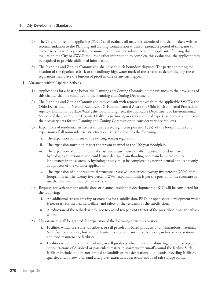- (2) The City Engineer and applicable SWCD shall evaluate all materials submitted and shall make a written recommendation to the Planning and Zoning Commission within a reasonable period of time, not to exceed sixty days. A copy of this recommendation shall be submitted to the applicant. If during this evaluation the City or SWCD requires further information to complete this evaluation, the applicant may be required to provide additional information.
- (3) The Planning and Zoning Commission shall decide such boundary disputes. The party contesting the location of the riparian setback or the ordinary high water mark of the streams as determined by these regulations shall have the burden of proof in case of any such appeal.
- J. Variances within Riparian Setback.
	- (1) Applications for a hearing before the Planning and Zoning Commission for variances to the provisions of this chapter shall be submitted to the Planning and Zoning Department.
	- (2) The Planning and Zoning Commission may consult with representatives from the applicable SWCD; the Ohio Department of Natural Resources, Division of Natural Areas; the Ohio Environmental Protection Agency, Division of Surface Water; the County Engineer; the applicable Department of Environmental Services of the County; the County Health Department; or other technical experts as necessary to provide the necessary data for the Planning and Zoning Commission to consider variance requests.
	- (3) Expansions of residential structures or uses exceeding fifteen percent (15%) of the footprint area and expansions of all nonresidential structures or uses are subject to the following:
		- i. The expansion conforms to the existing zoning regulations.
		- ii. The expansion must not impact the stream channel or the 100-year floodplain.
		- iii. The expansion of a nonresidential structure or use must not affect upstream or downstream hydrologic conditions which could cause damage from flooding or stream bank erosion to landowners in those areas. A hydrologic study must be completed by nonresidential applicants only as a process of the variance application.
		- iv. The expansion of a nonresidential structure or use will not exceed twenty-five percent (25%) of the footprint area. The twenty-five percent (25%) expansion limit is per the portion of the structure or use that lies within the riparian setback.
	- (4) Requests for variances for subdivisions or planned residential developments (PRD) will be considered for the following:
		- i. An additional stream crossing or crossings for a subdivision, PRD, or open space development which is necessary for the health, welfare, and safety of the residents of the subdivision.
		- ii. A reduction of the setback width, not to exceed ten percent (10%) of the prescribed riparian setback width.
	- (5) No variances shall be granted for expansion of the following structures or uses:
		- i. Facilities which use, store, distribute, or sell petroleum-based products or any hazardous materials. Such facilities include, but are not limited to asphalt plants, dry cleaners, gasoline service stations, and road maintenance facilities.
		- ii. Facilities which use, store, distribute, or sell products which may contribute higher than acceptable concentrations of dissolved or particulate matter to storm water runoff around the facility. Such facilities include, but are not limited to landfills or transfer stations, junk yards, recycling facilities, quarries and borrow pits, sand and gravel extraction operations and road salt storage barns.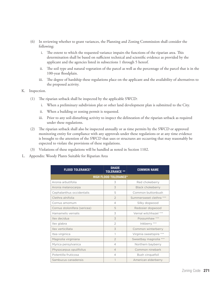- (6) In reviewing whether to grant variances, the Planning and Zoning Commission shall consider the following:
	- i. The extent to which the requested variance impairs the functions of the riparian area. This determination shall be based on sufficient technical and scientific evidence as provided by the applicant and the agencies listed in subsections 1 through 5 hereof.
	- ii. The soil type and natural vegetation of the parcel as well as the percentage of the parcel that is in the 100-year floodplain.
	- iii. The degree of hardship these regulations place on the applicant and the availability of alternatives to the proposed activity.
- K. Inspection.
	- (1) The riparian setback shall be inspected by the applicable SWCD:
		- i. When a preliminary subdivision plat or other land development plan is submitted to the City.
		- ii. When a building or zoning permit is requested.
		- iii. Prior to any soil-disturbing activity to inspect the delineation of the riparian setback as required under these regulations.
	- (2) The riparian setback shall also be inspected annually or as time permits by the SWCD or approved monitoring entity for compliance with any approvals under these regulations or at any time evidence is brought to the attention of the SWCD that uses or structures are occurring that may reasonably be expected to violate the provisions of these regulations.
	- (3) Violations of these regulations will be handled as noted in Section 1102.
- L. Appendix: Woody Plants Suitable for Riparian Area

| <b>FLOOD TOLERANCE*</b>      | <b>SHADE</b><br><b>TOLERANCE **</b> | <b>COMMON NAME</b>      |  |  |  |  |
|------------------------------|-------------------------------------|-------------------------|--|--|--|--|
| <b>HIGH FLOOD TOLERANCE*</b> |                                     |                         |  |  |  |  |
| Aronia arbutifolia           | 3                                   | Red chokeberry          |  |  |  |  |
| Aronia melanocarpa           | 3                                   | <b>Black chokeberry</b> |  |  |  |  |
| Cephalanthus occidentalis    | 5                                   | Common buttonbush       |  |  |  |  |
| Clethra alnifolia            | $\overline{2}$                      | Summersweet clethra *** |  |  |  |  |
| Cornus amomum                | $\overline{4}$                      | Silky dogwood           |  |  |  |  |
| Cornus stolonifera (sericea) | 5                                   | Redosier dogwood        |  |  |  |  |
| Hamamelis vernalis           | 3                                   | Vernal witchhazel ***   |  |  |  |  |
| Ilex decidua                 | 3                                   | Possumhaw ***           |  |  |  |  |
| Ilex glabra                  | $\overline{2}$                      | Inkberry ***            |  |  |  |  |
| Ilex verticillata            | 3                                   | Common winterberry      |  |  |  |  |
| Itea virginica               | 1                                   | Virginia sweetspire *** |  |  |  |  |
| Magnolia virginiana          | $\overline{2}$                      | Sweetbay magnolia ***   |  |  |  |  |
| Myrica pensylvanica          | $\overline{4}$                      | Northern bayberry       |  |  |  |  |
| Physocarpus opulifolius      | $\overline{4}$                      | Common ninebark         |  |  |  |  |
| Potentilla fruticosa         | $\overline{4}$                      | Bush cinquefoil         |  |  |  |  |
| Sambucus canadensis          | 1                                   | American elderberry     |  |  |  |  |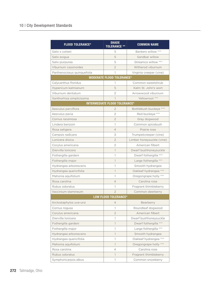| <b>FLOOD TOLERANCE*</b>     | <b>SHADE</b><br><b>TOLERANCE **</b>  | <b>COMMON NAME</b>        |  |  |  |
|-----------------------------|--------------------------------------|---------------------------|--|--|--|
| Salix x cotteti             | 5                                    | Bankers willow ***        |  |  |  |
| Salix exigua                | 5                                    | Sandbar willow            |  |  |  |
| Salix purpurea              | 5                                    | Streamco willow ***       |  |  |  |
| Viburnum cassinoides        | $\overline{2}$                       | Witherod viburnum         |  |  |  |
| Parthenocissus quinquefolia | 1                                    | Virginia creeper (vine)   |  |  |  |
|                             | <b>MODERATE FLOOD TOLERANCE*</b>     |                           |  |  |  |
| Calycanthus floridus        | 1                                    | Common sweetshrub         |  |  |  |
| Hypericum kalmianurn        | 5                                    | Kalm St. John's wort      |  |  |  |
| Viburnum dentatum           | 2                                    | Arrowwood viburnum        |  |  |  |
| Xanthorhiza simplicissima   | 1                                    | Yellowroot ***            |  |  |  |
|                             | <b>INTERMEDIATE FLOOD TOLERANCE*</b> |                           |  |  |  |
| Aesculus parviflora         | $\overline{2}$                       | Bottlebush buckeye ***    |  |  |  |
| Aesculus pavia              | $\overline{2}$                       | Red buckeye ***           |  |  |  |
| Cornus racemosa             | $\overline{2}$                       | Gray dogwood              |  |  |  |
| Lindera benzoin             | 1                                    | Common spicebush          |  |  |  |
| Rosa setigera               | 4                                    | Prairie rose              |  |  |  |
| Campsis radicans            | 3                                    | Trumpetcreeper (vine)     |  |  |  |
| Lonicera dioica             | $\overline{2}$                       | Limber honeysuckle (vine) |  |  |  |
| Corylus americana           | $\overline{2}$                       | American filbert          |  |  |  |
| Diervilla Ionicera          | $\mathbf{1}$                         | Dwarf bushhoneysuckle     |  |  |  |
| Fothergilla gardeni         | 1                                    | Dwarf fothergilla ***     |  |  |  |
| Fothergilla major           | 1                                    | Large fothergilla ***     |  |  |  |
| Hydrangea arborescens       | 1                                    | Smooth hydrangea          |  |  |  |
| Hydrangea quericifolia      | $\mathbf{1}$                         | Oakleaf hydrangea ***     |  |  |  |
| Mahonia aquifolium          | 1                                    | Oregongrape holly ***     |  |  |  |
| Rosa carolina               | 4                                    | Carolina rose             |  |  |  |
| Rubus odoratus              | 1                                    | Fragrant thimbleberry     |  |  |  |
| Vaccinium stamineum         | $\overline{2}$                       | Common deerberry          |  |  |  |
| <b>LOW FLOOD TOLERANCE*</b> |                                      |                           |  |  |  |
| Arctostaphylos uva-ursi     | $\overline{4}$                       | Bearberry                 |  |  |  |
| Cornus rogusa               | 1                                    | Roundleaf dogwood         |  |  |  |
| Corylus americana           | $\overline{2}$                       | American filbert          |  |  |  |
| Diervilla Ionicera          | 1                                    | Dwarf bushhoneysuckle     |  |  |  |
| Fothergilla gardeni         | $\overline{1}$                       | Dwarf fothergilla ***     |  |  |  |
| Fothergilla major           | 1                                    | Large fothergilla ***     |  |  |  |
| Hydrangea arborescens       | $\mathbb{1}$                         | Smooth hydrangea          |  |  |  |
| Hydrangea quericifolia      | 1                                    | Oakleaf hydrangea ***     |  |  |  |
| Mahonia aquifolium          | $\mathbf{1}$                         | Oregongrape holly ***     |  |  |  |
| Rosa carolina               | 4                                    | Carolina rose             |  |  |  |
| Rubus odoratus              | $\mathbf{1}$                         | Fragrant thimbleberry     |  |  |  |
| Symphoricarpos albus        | 1                                    | Common snowberry          |  |  |  |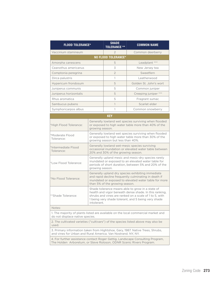| <b>FLOOD TOLERANCE*</b>                                                                                                                              |                                                                                                                                                                                                                                            | <b>SHADE</b><br><b>TOLERANCE **</b> | <b>COMMON NAME</b>     |  |
|------------------------------------------------------------------------------------------------------------------------------------------------------|--------------------------------------------------------------------------------------------------------------------------------------------------------------------------------------------------------------------------------------------|-------------------------------------|------------------------|--|
| Vaccinium stamineum                                                                                                                                  |                                                                                                                                                                                                                                            | $\mathfrak{D}$                      | Common deerberry       |  |
|                                                                                                                                                      |                                                                                                                                                                                                                                            | NO FLOOD TOLERANCE*                 |                        |  |
| Amorpha canescens                                                                                                                                    |                                                                                                                                                                                                                                            | 5                                   | Leadplant ***          |  |
| Ceanothus americanus                                                                                                                                 |                                                                                                                                                                                                                                            | 3                                   | New Jersey tea         |  |
| Comptonia peregrina                                                                                                                                  |                                                                                                                                                                                                                                            | $\overline{2}$                      | Sweetfern              |  |
| Dirca palustris                                                                                                                                      |                                                                                                                                                                                                                                            | 1                                   | Leatherwood            |  |
| Hypericum frondosum                                                                                                                                  |                                                                                                                                                                                                                                            | 5                                   | Golden St. John's wort |  |
| Juniperus communis                                                                                                                                   |                                                                                                                                                                                                                                            | 5                                   | Common juniper         |  |
| Juniperus horizontalis                                                                                                                               |                                                                                                                                                                                                                                            | 5                                   | Creeping juniper ***   |  |
| Rhus aromatica                                                                                                                                       |                                                                                                                                                                                                                                            | 5                                   | Fragrant sumac         |  |
| Sambucus pubens                                                                                                                                      |                                                                                                                                                                                                                                            | $\mathbf{1}$                        | Scarlet elder          |  |
| Symphoricarpos albus                                                                                                                                 |                                                                                                                                                                                                                                            | 1                                   | Common snowberry       |  |
|                                                                                                                                                      |                                                                                                                                                                                                                                            | <b>KEY</b>                          |                        |  |
| *High Flood Tolerance:                                                                                                                               | Generally lowland wet species surviving when flooded<br>or exposed to high water table more than 40% of the<br>growing season.                                                                                                             |                                     |                        |  |
| *Moderate Flood<br>Tolerance:                                                                                                                        | Generally lowland wet species surviving when flooded<br>or exposed to high water table more than 30% of the<br>growing season but less than 40%.                                                                                           |                                     |                        |  |
| *Intermediate Flood<br>Tolerance:                                                                                                                    | Generally lowland wet-mesic species surviving<br>occasional inundation or elevated water table between<br>20% and 30% of the growing season.                                                                                               |                                     |                        |  |
| *Low Flood Tolerance:                                                                                                                                | Generally upland mesic and mesic-dry species rarely<br>inundated or exposed to an elevated water table for<br>periods of short duration, between 5% and 20% of the<br>growing season.                                                      |                                     |                        |  |
| *No Flood Tolerance:                                                                                                                                 | Generally upland dry species exhibiting immediate<br>and rapid decline frequently culminating in death if<br>inundated or exposed to elevated water table for more<br>than 5% of the growing season.                                       |                                     |                        |  |
| **Shade Tolerance:                                                                                                                                   | Shade tolerance means able to grow in a state of<br>health and vigor beneath dense shade. In this ranking,<br>shrubs and vines are ranked on a scale of 1 to 5, with<br>1 being very shade tolerant, and 5 being very shade<br>intolerant. |                                     |                        |  |
| Notes:                                                                                                                                               |                                                                                                                                                                                                                                            |                                     |                        |  |
| 1. The majority of plants listed are available on the local commercial market and<br>do not displace native species.                                 |                                                                                                                                                                                                                                            |                                     |                        |  |
| 2. The cultivated varieties ("cultivars") of the species listed above may also be<br>used.                                                           |                                                                                                                                                                                                                                            |                                     |                        |  |
| 3. Primary information taken from Hightshoe, Gary, 1987. Native Trees, Shrubs,<br>and vines for Urban and Rural America. Van Nostrand. NY, NY.       |                                                                                                                                                                                                                                            |                                     |                        |  |
| 4. For further assistance contact Roger Gettig, Landscape Consulting Program,<br>The Holden Arboretum, or Steve Roloson, ODNR Scenic Rivers Program. |                                                                                                                                                                                                                                            |                                     |                        |  |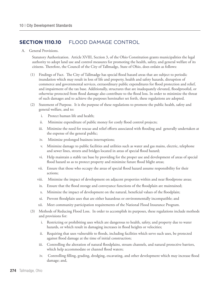## **Section 1110.10** FLOOD DAMAGE CONTROL

A. General Provisions.

Statutory Authorization. Article XVIII, Section 3, of the Ohio Constitution grants municipalities the legal authority to adopt land use and control measures for promoting the health, safety, and general welfare of its citizens. Therefore, the Council of the City of Tallmadge, State of Ohio, does ordain as follows:

- (1) Findings of Fact. The City of Tallmadge has special flood hazard areas that are subject to periodic inundation which may result in loss of life and property, health and safety hazards, disruption of commerce and governmental services, extraordinary public expenditures for flood protection and relief, and impairment of the tax base. Additionally, structures that are inadequately elevated, floodproofed, or otherwise protected from flood damage also contribute to the flood loss. In order to minimize the threat of such damages and to achieve the purposes hereinafter set forth, these regulations are adopted.
- (2) Statement of Purpose. It is the purpose of these regulations to promote the public health, safety and general welfare, and to:
	- i. Protect human life and health;
	- ii. Minimize expenditure of public money for costly flood control projects;
	- iii. Minimize the need for rescue and relief efforts associated with flooding and generally undertaken at the expense of the general public;
	- iv. Minimize prolonged business interruptions;
	- v. Minimize damage to public facilities and utilities such as water and gas mains, electric, telephone and sewer lines, streets and bridges located in areas of special flood hazard;
	- vi. Help maintain a stable tax base by providing for the proper use and development of areas of special flood hazard so as to protect property and minimize future flood blight areas;
	- vii. Ensure that those who occupy the areas of special flood hazard assume responsibility for their actions;
	- viii. Minimize the impact of development on adjacent properties within and near floodprone areas;
	- ix. Ensure that the flood storage and conveyance functions of the floodplain are maintained;
	- x. Minimize the impact of development on the natural, beneficial values of the floodplain;
	- xi. Prevent floodplain uses that are either hazardous or environmentally incompatible; and
	- xii. Meet community participation requirements of the National Flood Insurance Program.
- (3) Methods of Reducing Flood Loss. In order to accomplish its purposes, these regulations include methods and provisions for:
	- i. Restricting or prohibiting uses which are dangerous to health, safety, and property due to water hazards, or which result in damaging increases in flood heights or velocities;
	- ii. Requiring that uses vulnerable to floods, including facilities which serve such uses, be protected against flood damage at the time of initial construction;
	- iii. Controlling the alteration of natural floodplains, stream channels, and natural protective barriers, which help accommodate or channel flood waters;
	- iv. Controlling filling, grading, dredging, excavating, and other development which may increase flood damage; and,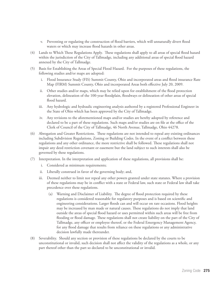- v. Preventing or regulating the construction of flood barriers, which will unnaturally divert flood waters or which may increase flood hazards in other areas.
- (4) Lands to Which These Regulations Apply. These regulations shall apply to all areas of special flood hazard within the jurisdiction of the City of Tallmadge, including any additional areas of special flood hazard annexed by the City of Tallmadge.
- (5) Basis for Establishing the Areas of Special Flood Hazard. For the purposes of these regulations, the following studies and/or maps are adopted:
	- i. Flood Insurance Study (FIS) Summit County, Ohio and incorporated areas and flood insurance Rate Map (FIRM) Summit County, Ohio and incorporated Areas both effective July 20, 2009.
	- ii. Other studies and/or maps, which may be relied upon for establishment of the flood protection elevation, delineation of the 100-year floodplain, floodways or delineation of other areas of special flood hazard.
	- iii. Any hydrologic and hydraulic engineering analysis authored by a registered Professional Engineer in the State of Ohio which has been approved by the City of Tallmadge.
	- iv. Any revisions to the aforementioned maps and/or studies are hereby adopted by reference and declared to be a part of these regulations. Such maps and/or studies are on file at the office of the Clerk of Council of the City of Tallmadge, 46 North Avenue, Tallmadge, Ohio 44278.
- (6) Abrogation and Greater Restrictions. These regulations are not intended to repeal any existing ordinances including Subdivision Regulations, Zoning or Building Codes. In the event of a conflict between these regulations and any other ordinance, the more restrictive shall be followed. These regulations shall not impair any deed restriction covenant or easement but the land subject to such interests shall also be governed by these regulations.
- (7) Interpretation. In the interpretation and application of these regulations, all provisions shall be:
	- i. Considered as minimum requirements;
	- ii. Liberally construed in favor of the governing body; and,
	- iii. Deemed neither to limit nor repeal any other powers granted under state statutes. Where a provision of these regulations may be in conflict with a state or Federal law, such state or Federal law shall take precedence over these regulations.
		- (a) Warning and Disclaimer of Liability. The degree of flood protection required by these regulations is considered reasonable for regulatory purposes and is based on scientific and engineering considerations. Larger floods can and will occur on rare occasions. Flood heights may be increased by man made or natural causes. These regulations do not imply that land outside the areas of special flood hazard or uses permitted within such areas will be free from flooding or flood damage. These regulations shall not create liability on the part of the City of Tallmadge, any officer or employee thereof, or the Federal Emergency Management Agency, for any flood damage that results from reliance on these regulations or any administrative decision lawfully made thereunder.
- (8) Severability. Should any section or provision of these regulations be declared by the courts to be unconstitutional or invalid, such decision shall not affect the validity of the regulations as a whole, or any part thereof other than the part so declared to be unconstitutional or invalid.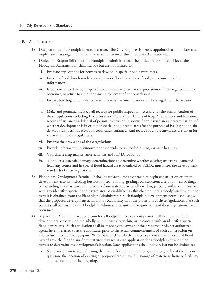#### B. Administration.

- (1) Designation of the Floodplain Administrator. The City Engineer is hereby appointed to administer and implement these regulations and is referred to herein as the Floodplain Administrator.
- (2) Duties and Responsibilities of the Floodplain Administrator. The duties and responsibilities of the Floodplain Administrator shall include but are not limited to:
	- Evaluate applications for permits to develop in special flood hazard areas.
	- ii. Interpret floodplain boundaries and provide flood hazard and flood protection elevation information.
	- iii. Issue permits to develop in special flood hazard areas when the provisions of these regulations have been met, or refuse to issue the same in the event of noncompliance.
	- iv. Inspect buildings and lands to determine whether any violations of these regulations have been committed.
	- v. Make and permanently keep all records for public inspection necessary for the administration of these regulations including Flood Insurance Rate Maps, Letters of Map Amendment and Revision, records of issuance and denial of permits to develop in special flood hazard areas, determinations of whether development is in or out of special flood hazard areas for the purpose of issuing floodplain development permits, elevation certificates, variances, and records of enforcement actions taken for violations of these regulations.
	- vi. Enforce the provisions of these regulations.
	- vii. Provide information, testimony, or other evidence as needed during variance hearings.
	- viii. Coordinate map maintenance activities and FEMA follow-up.
	- ix. Conduct substantial damage determinations to determine whether existing structures, damaged from any source and in special flood hazard areas identified by FEMA, must meet the development standards of these regulations.
- (3) Floodplain Development Permits. It shall be unlawful for any person to begin construction or other development activity including but not limited to filling; grading; construction; alteration, remodeling, or expanding any structure; or alteration of any watercourse wholly within, partially within or in contact with any identified special flood hazard area, as established in this chapter, until a floodplain development permit is obtained from the Floodplain Administrator. Such floodplain development permit shall show that the proposed development activity is in conformity with the provisions of these regulations. No such permit shall be issued by the Floodplain Administrator until the requirements of these regulations have been met.
- (4) Application Required. An application for a floodplain development permit shall be required for all development activities located wholly within, partially within, or in contact with an identified special flood hazard area. Such application shall be made by the owner of the property or his/her authorized agent, herein referred to as the applicant, prior to the actual commencement of such construction on a form furnished for that purpose. Where it is unclear whether a development site is in a special flood hazard area, the Floodplain Administrator may require an application for a floodplain development permit to determine the development's location. Such applications shall include, but not be limited to:
	- i. Site plans drawn to scale showing the nature, location, dimensions, and topography of the area in question; the location of existing or proposed structures, fill, storage of materials, drainage facilities, and the location of the foregoing.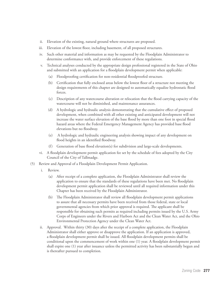- ii. Elevation of the existing, natural ground where structures are proposed.
- iii. Elevation of the lowest floor, including basement, of all proposed structures.
- iv. Such other material and information as may be requested by the Floodplain Administrator to determine conformance with, and provide enforcement of these regulations.
- v. Technical analyses conducted by the appropriate design professional registered in the State of Ohio and submitted with an application for a floodplain development permit when applicable:
	- (a) Floodproofing certification for non-residential floodproofed structure.
	- (b) Certification that fully enclosed areas below the lowest floor of a structure not meeting the design requirements of this chapter are designed to automatically equalize hydrostatic flood forces.
	- (c) Description of any watercourse alteration or relocation that the flood carrying capacity of the watercourse will not be diminished, and maintenance assurances.
	- (d) A hydrologic and hydraulic analysis demonstrating that the cumulative effect of proposed development, when combined with all other existing and anticipated development will not increase the water surface elevation of the base flood by more than one foot in special flood hazard areas where the Federal Emergency Management Agency has provided base flood elevations but no floodway.
	- (e) A hydrologic and hydraulic engineering analysis showing impact of any development on flood heights in an identified floodway.
	- (f) Generation of base flood elevation(s) for subdivision and large-scale developments.
- vi. A floodplain development permit application fee set by the schedule of fees adopted by the City Council of the City of Tallmadge.
- (5) Review and Approval of a Floodplain Development Permit Application.
	- i. Review.
		- (a) After receipt of a complete application, the Floodplain Administrator shall review the application to ensure that the standards of these regulations have been met. No floodplain development permit application shall be reviewed until all required information under this Chapter has been received by the Floodplain Administrator.
		- (b) The Floodplain Administrator shall review all floodplain development permit applications to assure that all necessary permits have been received from those federal, state or local governmental agencies from which prior approval is required. The applicant shall be responsible for obtaining such permits as required including permits issued by the U.S. Army Corps of Engineers under the Rivers and Harbors Act and the Clean Water Act, and the Ohio Environmental Protection Agency under the Clean Water Act.
	- ii. Approval. Within thirty (30) days after the receipt of a complete application, the Floodplain Administrator shall either approve or disapprove the application. If an application is approved, a floodplain development permit shall be issued. All floodplain development permits shall be conditional upon the commencement of work within one (1) year. A floodplain development permit shall expire one (1) year after issuance unless the permitted activity has been substantially begun and is thereafter pursued to completion.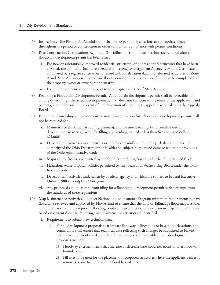- (6) Inspections. The Floodplain Administrator shall make periodic inspections at appropriate times throughout the period of construction in order to monitor compliance with permit conditions.
- (7) Post-Construction Certifications Required. The following as-built certifications are required after a floodplain development permit has been issued:
	- i. For new or substantially improved residential structures, or nonresidential structures that have been elevated, the applicant shall have a Federal Emergency Management Agency Elevation Certificate completed by a registered surveyor to record as-built elevation data. For elevated structures in Zone A and Zone AO areas without a base flood elevation, the elevation certificate may be completed by the property owner or owner's representative.
	- ii. For all development activities subject to this chapter, a Letter of Map Revision.
- (8) Revoking a Floodplain Development Permit. A floodplain development permit shall be revocable, if among other things, the actual development activity does not conform to the terms of the application and permit granted thereon. In the event of the revocation of a permit, an appeal may be taken to the Appeals Board.
- (9) Exemption from Filing a Development Permit. An application for a floodplain development permit shall not be required for:
	- i. Maintenance work such as roofing, painting, and basement sealing, or for small nonstructural development activities (except for filling and grading) valued at less than five thousand dollars (\$5,000).
	- Development activities in an existing or proposed manufactured home park that are under the authority of the Ohio Department of Health and subject to the flood damage reduction provisions of the Ohio Administrative Code.
	- iii. Major utility facilities permitted by the Ohio Power Siting Board under the Ohio Revised Code.
	- iv. Hazardous waste disposal facilities permitted by the Hazardous Waste Siting Board under the Ohio Revised Code.
	- v. Development activities undertaken by a federal agency and which are subject to Federal Executive Order 11988 - Floodplain Management.
	- vi. Any proposed action exempt from filing for a floodplain development permit is also exempt from the standards of these regulations.
- (10) Map Maintenance Activities. To meet National Flood Insurance Program minimum requirements to have flood data reviewed and approved by FEMA, and to ensure that the City of Tallmadge flood maps, studies and other data accurately represent flooding conditions so appropriate floodplain management criteria are based on current data, the following map maintenance activities are identified:
	- i. Requirement to submit new technical data.
		- (a) For all development proposals that impact floodway delineations or base flood elevations, the community shall ensure that technical data reflecting such changes be submitted to FEMA within six months of the date such information becomes available. These development proposals include:
			- 1) Floodway encroachments that increase or decrease base flood elevations or alter floodway boundaries;
			- 2) Fill sites to be used for the placement of proposed structures where the applicant desires to remove the site from the special flood hazard area;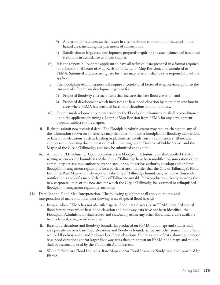- 3) Alteration of watercourses that result in a relocation or elimination of the special flood hazard area, including the placement of culverts; and
- 4) Subdivision or large scale development proposals requiring the establishment of base flood elevations in accordance with this chapter.
- (b) It is the responsibility of the applicant to have all technical data prepared in a format required for a Conditional Letter of Map Revision or Letter of Map Revision, and submitted to FEMA. Submittal and processing fees for these map revisions shall be the responsibility of the applicant.
- (c) The Floodplain Administrator shall require a Conditional Letter of Map Revision prior to the issuance of a floodplain development permit for:
	- 1) Proposed floodway encroachments that increase the base flood elevation; and
	- 2) Proposed development which increases the base flood elevation by more than one foot in areas where FEMA has provided base flood elevations but no floodway.
- (d) Floodplain development permits issued by the Floodplain Administrator shall be conditioned upon the applicant obtaining a Letter of Map Revision from FEMA for any development proposal subject to this chapter.
- ii. Right to submit new technical data. The Floodplain Administrator may request changes to any of the information shown on an effective map that does not impact floodplain or floodway delineations or base flood elevations, such as labeling or planimetric details. Such a submission shall include appropriate supporting documentation made in writing by the Director of Public Service and the Mayor of the City of Tallmadge, and may be submitted at any time.
- iii. Annexation/Detachment. Upon occurrence, the Floodplain Administrator shall notify FEMA in writing whenever the boundaries of the City of Tallmadge have been modified by annexation or the community has assumed authority over an area, or no longer has authority to adopt and enforce floodplain management regulations for a particular area. In order that the City of Tallmadge's Flood Insurance Rate Map accurately represents the City of Tallmadge boundaries, include within such notification a copy of a map of the City of Tallmadge suitable for reproduction, clearly showing the new corporate limits or the new area for which the City of Tallmadge has assumed or relinquished floodplain management regulatory authority.
- (11) Data Use and Flood Map Interpretation. The following guidelines shall apply to the use and interpretation of maps and other data showing areas of special flood hazard:
	- i. In areas where FEMA has not identified special flood hazard areas, or in FEMA identified special flood hazard areas where base flood elevation and floodway data have not been identified, the Floodplain Administrator shall review and reasonably utilize any other flood hazard data available from a federal, state, or other source.
	- ii. Base flood elevations and floodway boundaries produced on FEMA flood maps and studies shall take precedence over base flood elevations and floodway boundaries by any other source that reflect a reduced floodway width and/or lower base flood elevations. Other sources of data, showing increased base flood elevations and/or larger floodway areas than are shown on FEMA flood maps and studies, shall be reasonably used by the Floodplain Administrator.
	- iii. When Preliminary Flood Insurance Rate Maps and/or Flood Insurance Study have been provided by FEMA: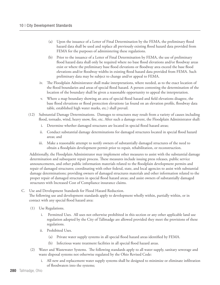- (a) Upon the issuance of a Letter of Final Determination by the FEMA, the preliminary flood hazard data shall be used and replace all previously existing flood hazard data provided from FEMA for the purposes of administering these regulations.
- (b) Prior to the issuance of a Letter of Final Determination by FEMA, the use of preliminary flood hazard data shall only be required where no base flood elevations and/or floodway areas exist or where the preliminary base flood elevations or floodway area exceed the base flood elevations and/or floodway widths in existing flood hazard data provided from FEMA. Such preliminary data may be subject to change and/or appeal to FEMA.
- iv. The Floodplain Administrator shall make interpretations, where needed, as to the exact location of the flood boundaries and areas of special flood hazard. A person contesting the determination of the location of the boundary shall be given a reasonable opportunity to appeal the interpretation.
- v. Where a map boundary showing an area of special flood hazard and field elevations disagree, the base flood elevations or flood protection elevations (as found on an elevation profile, floodway data table, established high water marks, etc.) shall prevail.
- (12) Substantial Damage Determinations. Damages to structures may result from a variety of causes including flood, tornado, wind, heavy snow, fire, etc. After such a damage event, the Floodplain Administrator shall:
	- i. Determine whether damaged structures are located in special flood hazard areas;
	- ii. Conduct substantial damage determinations for damaged structures located in special flood hazard areas; and
	- iii. Make a reasonable attempt to notify owners of substantially damaged structures of the need to obtain a floodplain development permit prior to repair, rehabilitation, or reconstruction.

Additionally, the Floodplain Administrator may implement other measures to assist with the substantial damage determination and subsequent repair process. These measures include issuing press releases, public service announcements, and other public information materials related to the floodplain development permits and repair of damaged structures; coordinating with other federal, state, and local agencies to assist with substantial damage determinations; providing owners of damaged structures materials and other information related to the proper repair of damaged structures in special flood hazard areas; and assist owners of substantially damaged structures with Increased Cost of Compliance insurance claims.

### C. Use and Development Standards for Flood Hazard Reduction. The following use and development standards apply to development wholly within, partially within, or in contact with any special flood hazard area:

- (1) Use Regulations.
	- Permitted Uses. All uses not otherwise prohibited in this section or any other applicable land use regulation adopted by the City of Tallmadge are allowed provided they meet the provisions of these regulations.
	- ii. Prohibited Uses.
		- (a) Private water supply systems in all special flood hazard areas identified by FEMA.
		- (b) Infectious waste treatment facilities in all special flood hazard areas.
- (2) Water and Wastewater Systems. The following standards apply to all water supply, sanitary sewerage and waste disposal systems not otherwise regulated by the Ohio Revised Code:
	- i. All new and replacement water supply systems shall be designed to minimize or eliminate infiltration of floodwaters into the systems;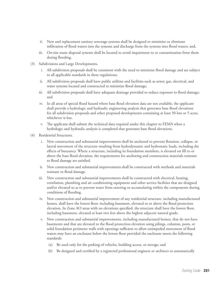- ii. New and replacement sanitary sewerage systems shall be designed to minimize or eliminate infiltration of flood waters into the systems and discharge from the systems into flood waters; and,
- iii. On-site waste disposal systems shall be located to avoid impairment to or contamination from them during flooding.
- (3) Subdivisions and Large Developments.
	- i. All subdivision proposals shall be consistent with the need to minimize flood damage and are subject to all applicable standards in these regulations;
	- ii. All subdivision proposals shall have public utilities and facilities such as sewer, gas, electrical, and water systems located and constructed to minimize flood damage;
	- iii. All subdivision proposals shall have adequate drainage provided to reduce exposure to flood damage; and
	- iv. In all areas of special flood hazard where base flood elevation data are not available, the applicant shall provide a hydrologic and hydraulic engineering analysis that generates base flood elevations for all subdivision proposals and other proposed developments containing at least 50 lots or 5 acres, whichever is less.
	- v. The applicant shall submit the technical data required under this chapter to FEMA when a hydrologic and hydraulic analysis is completed that generates base flood elevations.
- (4) Residential Structures.
	- i. New construction and substantial improvements shall be anchored to prevent flotation, collapse, or lateral movement of the structure resulting from hydrodynamic and hydrostatic loads, including the effects of buoyancy. Where a structure, including its foundation members, is elevated on fill to or above the base flood elevation, the requirements for anchoring and construction materials resistant to flood damage are satisfied.
	- ii. New construction and substantial improvements shall be constructed with methods and materials resistant to flood damage.
	- iii. New construction and substantial improvements shall be constructed with electrical, heating, ventilation, plumbing and air conditioning equipment and other service facilities that are designed and/or elevated so as to prevent water from entering or accumulating within the components during conditions of flooding.
	- iv. New construction and substantial improvement of any residential structure, including manufactured homes, shall have the lowest floor, including basement, elevated to or above the flood protection elevation. In Zone AO areas with no elevations specified, the structure shall have the lowest floor, including basement, elevated at least two feet above the highest adjacent natural grade.
	- v. New construction and substantial improvements, including manufactured homes, that do not have basements and that are elevated to the flood protection elevation using pilings, columns, posts, or solid foundation perimeter walls with openings sufficient to allow unimpeded movement of flood waters may have an enclosure below the lowest floor provided the enclosure meets the following standards:
		- (a) Be used only for the parking of vehicles, building access, or storage; and
		- (b) Be designed and certified by a registered professional engineer or architect to automatically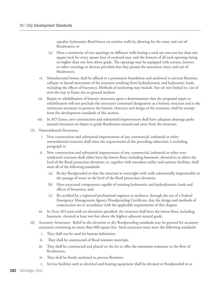equalize hydrostatic flood forces on exterior walls by allowing for the entry and exit of floodwaters; or

- (c) Have a minimum of two openings on different walls having a total net area not less than one square inch for every square foot of enclosed area, and the bottom of all such openings being no higher than one foot above grade. The openings may be equipped with screens, louvers, or other coverings or devices provided that they permit the automatic entry and exit of floodwaters.
- vi. Manufactured homes shall be affixed to a permanent foundation and anchored to prevent flotation, collapse or lateral movement of the structure resulting from hydrodynamic and hydrostatic loads, including the effects of buoyancy. Methods of anchoring may include, but are not limited to, use of over-the-top or frame ties to ground anchors.
- vii. Repair or rehabilitation of historic structures upon a determination that the proposed repair or rehabilitation will not preclude the structure's continued designation as a historic structure and is the minimum necessary to preserve the historic character and design of the structure, shall be exempt from the development standards of this section.
- viii. In AO Zones, new construction and substantial improvement shall have adequate drainage paths around structures on slopes to guide floodwaters around and away from the structure.
- (5) Nonresidential Structures.
	- i. New construction and substantial improvement of any commercial, industrial or other nonresidential structure shall meet the requirements of the preceding subsection 4 excluding paragraph iv.
	- ii. New construction and substantial improvement of any commercial, industrial or other nonresidential structure shall either have the lowest floor, including basement, elevated to or above the level of the flood protection elevation; or, together with attendant utility and sanitary facilities, shall meet all of the following standards:
		- (a) Be dry floodproofed so that the structure is watertight with walls substantially impermeable to the passage of water to the level of the flood protection elevation;
		- (b) Have structural components capable of resisting hydrostatic and hydrodynamic loads and effects of buoyancy; and,
		- (c) Be certified by a registered professional engineer or architect, through the use of a Federal Emergency Management Agency Floodproofing Certificate, that the design and methods of construction are in accordance with the applicable requirements of this chapter.
	- iii. In Zone AO areas with no elevations specified, the structure shall have the lowest floor, including basement, elevated at least two feet above the highest adjacent natural grade.
- (6) Accessory Structures. Relief to the elevation or dry floodproofing standards may be granted for accessory structures containing no more than 600 square feet. Such structures must meet the following standards:
	- i. They shall not be used for human habitation;
	- ii. They shall be constructed of flood resistant materials;
	- iii. They shall be constructed and placed on the lot to offer the minimum resistance to the flow of floodwaters;
	- iv. They shall be firmly anchored to prevent flotation;
	- v. Service facilities such as electrical and heating equipment shall be elevated or floodproofed to or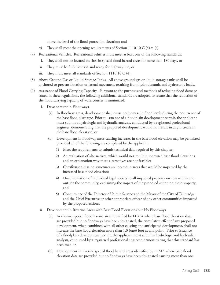above the level of the flood protection elevation; and

- vi. They shall meet the opening requirements of Section 1110.10 C (4) v. (c).
- (7) Recreational Vehicles. Recreational vehicles must meet at least one of the following standards:
	- i. They shall not be located on sites in special flood hazard areas for more than 180 days, or
	- ii. They must be fully licensed and ready for highway use, or
	- iii. They must meet all standards of Section 1110.10 C (4).
- (8) Above Ground Gas or Liquid Storage Tanks. All above ground gas or liquid storage tanks shall be anchored to prevent flotation or lateral movement resulting from hydrodynamic and hydrostatic loads.
- (9) Assurance of Flood Carrying Capacity. Pursuant to the purpose and methods of reducing flood damage stated in these regulations, the following additional standards are adopted to assure that the reduction of the flood carrying capacity of watercourses is minimized:
	- i. Development in Floodways.
		- (a) In floodway areas, development shall cause no increase in flood levels during the occurrence of the base flood discharge. Prior to issuance of a floodplain development permit, the applicant must submit a hydrologic and hydraulic analysis, conducted by a registered professional engineer, demonstrating that the proposed development would not result in any increase in the base flood elevation; or
		- (b) Development in floodway areas causing increases in the base flood elevation may be permitted provided all of the following are completed by the applicant:
			- 1) Meet the requirements to submit technical data required by this chapter;
			- 2) An evaluation of alternatives, which would not result in increased base flood elevations and an explanation why these alternatives are not feasible;
			- 3) Certification that no structures are located in areas that would be impacted by the increased base flood elevation;
			- 4) Documentation of individual legal notices to all impacted property owners within and outside the community, explaining the impact of the proposed action on their property; and
			- 5) Concurrence of the Director of Public Service and the Mayor of the City of Tallmadge and the Chief Executive or other appropriate officer of any other communities impacted by the proposed actions.
	- ii. Development in Riverine Areas with Base Flood Elevations but No Floodways.
		- (a) In riverine special flood hazard areas identified by FEMA where base flood elevation data are provided but no floodways have been designated, the cumulative effect of any proposed development, when combined with all other existing and anticipated development, shall not increase the base flood elevation more than 1.0 (one) foot at any point. Prior to issuance of a floodplain development permit, the applicant must submit a hydrologic and hydraulic analysis, conducted by a registered professional engineer, demonstrating that this standard has been met; or,
		- (b) Development in riverine special flood hazard areas identified by FEMA where base flood elevation data are provided but no floodways have been designated causing more than one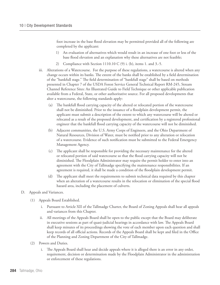foot increase in the base flood elevation may be permitted provided all of the following are completed by the applicant:

- 1) An evaluation of alternatives which would result in an increase of one foot or less of the base flood elevation and an explanation why these alternatives are not feasible;
- 2) Compliance with Section 1110.10 C (9) i. (b), items 1. and 3.-5.
- iii. Alterations of a Watercourse. For the purpose of these regulations, a watercourse is altered when any change occurs within its banks. The extent of the banks shall be established by a field determination of the "bankfull stage." The field determination of "bankfull stage" shall be based on methods presented in Chapter 7 of the USDA Forest Service General Technical Report RM-245, Stream Channel Reference Sites: An Illustrated Guide to Field Technique or other applicable publication available from a Federal, State, or other authoritative source. For all proposed developments that alter a watercourse, the following standards apply:
	- (a) The bankfull flood carrying capacity of the altered or relocated portion of the watercourse shall not be diminished. Prior to the issuance of a floodplain development permit, the applicant must submit a description of the extent to which any watercourse will be altered or relocated as a result of the proposed development, and certification by a registered professional engineer that the bankfull flood carrying capacity of the watercourse will not be diminished.
	- (b) Adjacent communities, the U.S. Army Corps of Engineers, and the Ohio Department of Natural Resources, Division of Water, must be notified prior to any alteration or relocation of a watercourse. Evidence of such notification must be submitted to the Federal Emergency Management Agency.
	- (c) The applicant shall be responsible for providing the necessary maintenance for the altered or relocated portion of said watercourse so that the flood carrying capacity will not be diminished. The Floodplain Administrator may require the permit holder to enter into an agreement with the City of Tallmadge specifying the maintenance responsibilities. If an agreement is required, it shall be made a condition of the floodplain development permit.
	- (d) The applicant shall meet the requirements to submit technical data required by this chapter when an alteration of a watercourse results in the relocation or elimination of the special flood hazard area, including the placement of culverts.
- D. Appeals and Variances.
	- (1) Appeals Board Established.
		- i. Pursuant to Article XII of the Tallmadge Charter, the Board of Zoning Appeals shall hear all appeals and variances from this Chapter.
		- ii. All meetings of the Appeals Board shall be open to the public except that the Board may deliberate in executive sessions as part of quasi-judicial hearings in accordance with law. The Appeals Board shall keep minutes of its proceedings showing the vote of each member upon each question and shall keep records of all official actions. Records of the Appeals Board shall be kept and filed in the Office of the Planning and Zoning Department of the City of Tallmadge.
	- (2) Powers and Duties.
		- i. The Appeals Board shall hear and decide appeals where it is alleged there is an error in any order, requirement, decision or determination made by the Floodplain Administrator in the administration or enforcement of these regulations.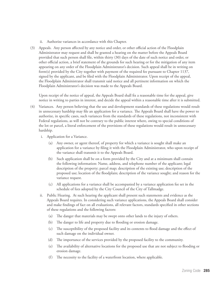- ii. Authorize variances in accordance with this Chapter.
- (3) Appeals. Any person affected by any notice and order, or other official action of the Floodplain Administrator may request and shall be granted a hearing on the matter before the Appeals Board provided that such person shall file, within thirty (30) days of the date of such notice and order, or other official action, a brief statement of the grounds for such hearing or for the mitigation of any item appearing on any order of the Floodplain Administrator's decision. Such appeal shall be in writing on form(s) provided by the City together with payment of the required fee pursuant to Chapter 1137, signed by the applicant, and be filed with the Floodplain Administrator. Upon receipt of the appeal, the Floodplain Administrator shall transmit said notice and all pertinent information on which the Floodplain Administrator's decision was made to the Appeals Board.

Upon receipt of the notice of appeal, the Appeals Board shall fix a reasonable time for the appeal, give notice in writing to parties in interest, and decide the appeal within a reasonable time after it is submitted.

- (4) Variances. Any person believing that the use and development standards of these regulations would result in unnecessary hardship may file an application for a variance. The Appeals Board shall have the power to authorize, in specific cases, such variances from the standards of these regulations, not inconsistent with Federal regulations, as will not be contrary to the public interest where, owing to special conditions of the lot or parcel, a literal enforcement of the provisions of these regulations would result in unnecessary hardship.
	- i. Application for a Variance.
		- (a) Any owner, or agent thereof, of property for which a variance is sought shall make an application for a variance by filing it with the Floodplain Administrator, who upon receipt of the variance shall transmit it to the Appeals Board.
		- (b) Such application shall be on a form provided by the City and at a minimum shall contain the following information: Name, address, and telephone number of the applicant; legal description of the property; parcel map; description of the existing use; description of the proposed use; location of the floodplain; description of the variance sought; and reason for the variance request.
		- (c) All applications for a variance shall be accompanied by a variance application fee set in the schedule of fees adopted by the City Council of the City of Tallmadge.
	- ii. Public Hearing. At such hearing the applicant shall present such statements and evidence as the Appeals Board requires. In considering such variance applications, the Appeals Board shall consider and make findings of fact on all evaluations, all relevant factors, standards specified in other sections of these regulations and the following factors:
		- (a) The danger that materials may be swept onto other lands to the injury of others.
		- (b) The danger to life and property due to flooding or erosion damage.
		- (c) The susceptibility of the proposed facility and its contents to flood damage and the effect of such damage on the individual owner.
		- (d) The importance of the services provided by the proposed facility to the community.
		- (e) The availability of alternative locations for the proposed use that are not subject to flooding or erosion damage.
		- (f) The necessity to the facility of a waterfront location, where applicable.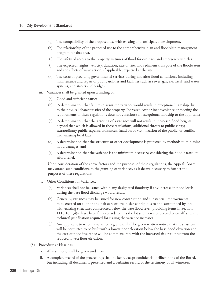- (g) The compatibility of the proposed use with existing and anticipated development.
- (h) The relationship of the proposed use to the comprehensive plan and floodplain management program for that area.
- (i) The safety of access to the property in times of flood for ordinary and emergency vehicles.
- (j) The expected heights, velocity, duration, rate of rise, and sediment transport of the floodwaters and the effects of wave action, if applicable, expected at the site.
- (k) The costs of providing governmental services during and after flood conditions, including maintenance and repair of public utilities and facilities such as sewer, gas, electrical, and water systems, and streets and bridges.
- iii. Variances shall be granted upon a finding of:
	- (a) Good and sufficient cause;
	- (b) A determination that failure to grant the variance would result in exceptional hardship due to the physical characteristics of the property. Increased cost or inconvenience of meeting the requirements of these regulations does not constitute an exceptional hardship to the applicant;
	- (c) A determination that the granting of a variance will not result in increased flood heights beyond that which is allowed in these regulations; additional threats to public safety; extraordinary public expense, nuisances, fraud on or victimization of the public, or conflict with existing local laws;
	- (d) A determination that the structure or other development is protected by methods to minimize flood damages; and
	- (e) A determination that the variance is the minimum necessary, considering the flood hazard, to afford relief.

Upon consideration of the above factors and the purposes of these regulations, the Appeals Board may attach such conditions to the granting of variances, as it deems necessary to further the purposes of these regulations.

- iv. Other Conditions for Variances.
	- (a) Variances shall not be issued within any designated floodway if any increase in flood levels during the base flood discharge would result.
	- (b) Generally, variances may be issued for new construction and substantial improvements to be erected on a lot of one-half acre or less in size contiguous to and surrounded by lots with existing structures constructed below the base flood level, providing items in Section 1110.10E.(4)ii. have been fully considered. As the lot size increases beyond one-half acre, the technical justification required for issuing the variance increases.
	- (c) Any applicant to whom a variance is granted shall be given written notice that the structure will be permitted to be built with a lowest floor elevation below the base flood elevation and the cost of flood insurance will be commensurate with the increased risk resulting from the reduced lowest floor elevation.
- (5) Procedure at Hearings.
	- i. All testimony shall be given under oath.
	- ii. A complete record of the proceedings shall be kept, except confidential deliberations of the Board, but including all documents presented and a verbatim record of the testimony of all witnesses.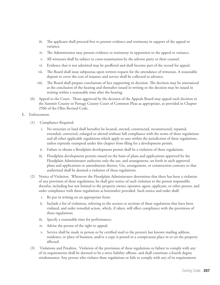- iii. The applicant shall proceed first to present evidence and testimony in support of the appeal or variance.
- iv. The Administrator may present evidence or testimony in opposition to the appeal or variance.
- v. All witnesses shall be subject to cross-examination by the adverse party or their counsel.
- vi. Evidence that is not admitted may be proffered and shall become part of the record for appeal.
- vii. The Board shall issue subpoenas upon written request for the attendance of witnesses. A reasonable deposit to cover the cost of issuance and service shall be collected in advance.
- viii. The Board shall prepare conclusions of fact supporting its decision. The decision may be announced at the conclusion of the hearing and thereafter issued in writing or the decision may be issued in writing within a reasonable time after the hearing.
- (6) Appeal to the Court. Those aggrieved by the decision of the Appeals Board may appeal such decision to the Summit County or Portage County Court of Common Pleas as appropriate, as provided in Chapter 2506 of the Ohio Revised Code.

E. Enforcement.

- (1) Compliance Required.
	- i. No structure or land shall hereafter be located, erected, constructed, reconstructed, repaired, extended, converted, enlarged or altered without full compliance with the terms of these regulations and all other applicable regulations which apply to uses within the jurisdiction of these regulations, unless expressly exempted under this chapter from filing for a development permit.
	- ii. Failure to obtain a floodplain development permit shall be a violation of these regulations.
	- iii. Floodplain development permits issued on the basis of plans and applications approved by the Floodplain Administrator authorize only the use, and arrangement, set forth in such approved plans and applications or amendments thereto. Use, arrangement, or construction contrary to that authorized shall be deemed a violation of these regulations.
- (2) Notice of Violation. Whenever the Floodplain Administrator determines that there has been a violation of any provision of these regulations, he shall give notice of such violation to the person responsible therefor, including but not limited to the property owner, operator, agent, applicant, or other person, and order compliance with these regulations as hereinafter provided. Such notice and order shall:
	- i. Be put in writing on an appropriate form;
	- ii. Include a list of violations, referring to the section or sections of these regulations that have been violated, and order remedial action, which, if taken, will effect compliance with the provisions of these regulations;
	- iii. Specify a reasonable time for performance;
	- iv. Advise the person of the right to appeal;
	- v. Service shall be made in person or by certified mail to the person's last known mailing address, residence, or place of business, and/or a copy is posted in a conspicuous place in or on the property affected.
- (3) Violations and Penalties. Violation of the provisions of these regulations or failure to comply with any of its requirements shall be deemed to be a strict liability offense, and shall constitute a fourth degree misdemeanor. Any person who violates these regulations or fails to comply with any of its requirements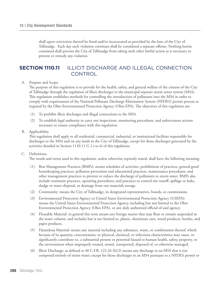shall upon conviction thereof be fined and/or incarcerated as provided by the laws of the City of Tallmadge. Each day such violation continues shall be considered a separate offense. Nothing herein contained shall prevent the City of Tallmadge from taking such other lawful action as is necessary to prevent or remedy any violation.

## **Section 1110.11** ILLICIT DISCHARGE AND ILLEGAL CONNECTION **CONTROL**

#### A. Purpose and Scope.

The purpose of this regulation is to provide for the health, safety, and general welfare of the citizens of the City of Tallmadge through the regulation of illicit discharges to the municipal separate storm sewer system (MS4). This regulation establishes methods for controlling the introduction of pollutants into the MS4 in order to comply with requirements of the National Pollutant Discharge Elimination System (NPDES) permit process as required by the Ohio Environmental Protection Agency (Ohio EPA). The objectives of this regulation are:

- (1) To prohibit illicit discharges and illegal connections to the MS4.
- (2) To establish legal authority to carry out inspections, monitoring procedures, and enforcement actions necessary to ensure compliance with this regulation.

#### B. Applicability.

This regulation shall apply to all residential, commercial, industrial, or institutional facilities responsible for discharges to the MS4 and on any lands in the City of Tallmadge, except for those discharges generated by the activities detailed in Section 1110.11 G 1.i to iii of this regulation.

#### C. Definitions.

The words and terms used in this regulation, unless otherwise expressly stated, shall have the following meaning:

- (1) Best Management Practices (BMPs): means schedules of activities, prohibitions of practices, general good housekeeping practices, pollution prevention and educational practices, maintenance procedures, and other management practices to prevent or reduce the discharge of pollutants to storm water. BMPs also include treatment practices, operating procedures, and practices to control site runoff, spillage or leaks, sludge or water disposal, or drainage from raw materials storage.
- (2) Community: means the City of Tallmadge, its designated representatives, boards, or commissions.
- (3) Environmental Protection Agency or United States Environmental Protection Agency (USEPA): means the United States Environmental Protection Agency, including but not limited to the Ohio Environmental Protection Agency (Ohio EPA), or any duly authorized official of said agency.
- (4) Floatable Material: in general this term means any foreign matter that may float or remain suspended in the water column, and includes but is not limited to, plastic, aluminum cans, wood products, bottles, and paper products.
- (5) Hazardous Material: means any material including any substance, waste, or combination thereof, which because of its quantity, concentration, or physical, chemical, or infectious characteristics may cause, or significantly contribute to, a substantial present or potential hazard to human health, safety, property, or the environment when improperly treated, stored, transported, disposed of, or otherwise managed.
- (6) Illicit Discharge: as defined at 40 C.F.R. 122.26 (b)(2) means any discharge to an MS4 that is not composed entirely of storm water, except for those discharges to an MS4 pursuant to a NPDES permit or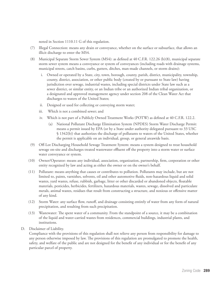noted in Section 1110.11 G of this regulation.

- (7) Illegal Connection: means any drain or conveyance, whether on the surface or subsurface, that allows an illicit discharge to enter the MS4.
- (8) Municipal Separate Storm Sewer System (MS4): as defined at 40 C.F.R. 122.26 (b)(8), municipal separate storm sewer system means a conveyance or system of conveyances (including roads with drainage systems, municipal streets, catch basins, curbs, gutters, ditches, man-made channels, or storm drains):
	- i. Owned or operated by a State, city, town, borough, county, parish, district, municipality, township, county, district, association, or other public body (created by or pursuant to State law) having jurisdiction over sewage, industrial wastes, including special districts under State law such as a sewer district, or similar entity, or an Indian tribe or an authorized Indian tribal organization, or a designated and approved management agency under section 208 of the Clean Water Act that discharges to waters of the United States;
	- ii. Designed or used for collecting or conveying storm water;
	- iii. Which is not a combined sewer; and
	- iv. Which is not part of a Publicly Owned Treatment Works (POTW) as defined at 40 C.F.R. 122.2.
		- (a) National Pollutant Discharge Elimination System (NPDES) Storm Water Discharge Permit: means a permit issued by EPA (or by a State under authority delegated pursuant to 33 USC § 1342(b)) that authorizes the discharge of pollutants to waters of the United States, whether the permit is applicable on an individual, group, or general areawide basis.
- (9) Off-Lot Discharging Household Sewage Treatment System: means a system designed to treat household sewage on-site and discharges treated wastewater effluent off the property into a storm water or surface water conveyance or system.
- (10) Owner/Operator: means any individual, association, organization, partnership, firm, corporation or other entity recognized by law and acting as either the owner or on the owner's behalf.
- (11) Pollutant: means anything that causes or contributes to pollution. Pollutants may include, but are not limited to, paints, varnishes, solvents, oil and other automotive fluids, non-hazardous liquid and solid wastes, yard wastes, refuse, rubbish, garbage, litter or other discarded or abandoned objects, floatable materials, pesticides, herbicides, fertilizers, hazardous materials, wastes, sewage, dissolved and particulate metals, animal wastes, residues that result from constructing a structure, and noxious or offensive matter of any kind.
- (12) Storm Water: any surface flow, runoff, and drainage consisting entirely of water from any form of natural precipitation, and resulting from such precipitation.
- (13) Wastewater: The spent water of a community. From the standpoint of a source, it may be a combination of the liquid and water-carried wastes from residences, commercial buildings, industrial plants, and institutions.
- D. Disclaimer of Liability.

Compliance with the provisions of this regulation shall not relieve any person from responsibility for damage to any person otherwise imposed by law. The provisions of this regulation are promulgated to promote the health, safety, and welfare of the public and are not designed for the benefit of any individual or for the benefit of any particular parcel of property.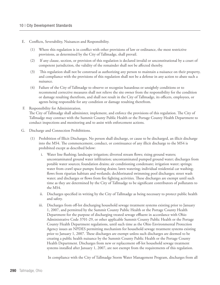- E. Conflicts, Severability, Nuisances and Responsibility.
	- (1) Where this regulation is in conflict with other provisions of law or ordinance, the most restrictive provisions, as determined by the City of Tallmadge, shall prevail.
	- (2) If any clause, section, or provision of this regulation is declared invalid or unconstitutional by a court of competent jurisdiction, the validity of the remainder shall not be affected thereby.
	- (3) This regulation shall not be construed as authorizing any person to maintain a nuisance on their property, and compliance with the provisions of this regulation shall not be a defense in any action to abate such a nuisance.
	- (4) Failure of the City of Tallmadge to observe or recognize hazardous or unsightly conditions or to recommend corrective measures shall not relieve the site owner from the responsibility for the condition or damage resulting therefrom, and shall not result in the City of Tallmadge, its officers, employees, or agents being responsible for any condition or damage resulting therefrom.
- F. Responsibility for Administration.

The City of Tallmadge shall administer, implement, and enforce the provisions of this regulation. The City of Tallmadge may contract with the Summit County Public Health or the Portage County Health Department to conduct inspections and monitoring and to assist with enforcement actions.

- G. Discharge and Connection Prohibitions.
	- (1) Prohibition of Illicit Discharges. No person shall discharge, or cause to be discharged, an illicit discharge into the MS4. The commencement, conduct, or continuance of any illicit discharge to the MS4 is prohibited except as described below:
		- i. Water line flushing; landscape irrigation; diverted stream flows; rising ground waters; uncontaminated ground water infiltration; uncontaminated pumped ground water; discharges from potable water sources; foundation drains; air conditioning condensate; irrigation water; springs; water from crawl space pumps; footing drains; lawn watering; individual residential car washing; flows from riparian habitats and wetlands; dechlorinated swimming pool discharges; street wash water; and discharges or flows from fire fighting activities. These discharges are exempt until such time as they are determined by the City of Tallmadge to be significant contributors of pollutants to the MS4.
		- ii. Discharges specified in writing by the City of Tallmadge as being necessary to protect public health and safety.
		- iii. Discharges from off-lot discharging household sewage treatment systems existing prior to January 1, 2007, and permitted by the Summit County Public Health or the Portage County Health Department for the purpose of discharging treated sewage effluent in accordance with Ohio Administrative Code 3701-29, or other applicable Summit County Public Health or the Portage County Health Department regulations, until such time as the Ohio Environmental Protection Agency issues an NPDES permitting mechanism for household sewage treatment systems existing prior to January 1, 2007. These discharges are exempt unless such discharges are deemed to be creating a public health nuisance by the Summit County Public Health or the Portage County Health Department. Discharges from new or replacement off-lot household sewage treatment systems installed after January 1, 2007, are not exempt from the requirements of this regulation.

In compliance with the City of Tallmadge Storm Water Management Program, discharges from all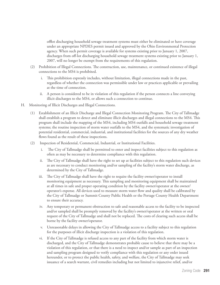offlot discharging household sewage treatment systems must either be eliminated or have coverage under an appropriate NPDES permit issued and approved by the Ohio Environmental Protection agency. When such permit coverage is available for systems existing prior to January 1, 2007, discharges from off-lot discharging household sewage treatment systems existing prior to January 1, 2007, will no longer be exempt from the requirements of this regulation.

- (2) Prohibition of Illegal Connections. The construction, use, maintenance, or continued existence of illegal connections to the MS4 is prohibited.
	- i. This prohibition expressly includes, without limitation, illegal connections made in the past, regardless of whether the connection was permissible under law or practices applicable or prevailing at the time of connection.
	- ii. A person is considered to be in violation of this regulation if the person connects a line conveying illicit discharges to the MS4, or allows such a connection to continue.
- H. Monitoring of Illicit Discharges and Illegal Connections.
	- (1) Establishment of an Illicit Discharge and Illegal Connection Monitoring Program. The City of Tallmadge shall establish a program to detect and eliminate illicit discharges and illegal connections to the MS4. This program shall include the mapping of the MS4, including MS4 outfalls and household sewage treatment systems; the routine inspection of storm water outfalls to the MS4, and the systematic investigation of potential residential, commercial, industrial, and institutional facilities for the sources of any dry weather flows found as the result of these inspections.
	- (2) Inspection of Residential, Commercial, Industrial, or Institutional Facilities.
		- i. The City of Tallmadge shall be permitted to enter and inspect facilities subject to this regulation as often as may be necessary to determine compliance with this regulation.
		- ii. The City of Tallmadge shall have the right to set up at facilities subject to this regulation such devices as are necessary to conduct monitoring and/or sampling of the facility's storm water discharge, as determined by the City of Tallmadge.
		- iii. The City of Tallmadge shall have the right to require the facility owner/operator to install monitoring equipment as necessary. This sampling and monitoring equipment shall be maintained at all times in safe and proper operating condition by the facility owner/operator at the owner/ operator's expense. All devices used to measure storm water flow and quality shall be calibrated by the City of Tallmadge or Summit County Public Health or the Portage County Health Department to ensure their accuracy.
		- iv. Any temporary or permanent obstruction to safe and reasonable access to the facility to be inspected and/or sampled shall be promptly removed by the facility's owner/operator at the written or oral request of the City of Tallmadge and shall not be replaced. The costs of clearing such access shall be borne by the facility owner/operator.
		- v. Unreasonable delays in allowing the City of Tallmadge access to a facility subject to this regulation for the purposes of illicit discharge inspection is a violation of this regulation.
		- vi. If the City of Tallmadge is refused access to any part of the facility from which storm water is discharged, and the City of Tallmadge demonstrates probable cause to believe that there may be a violation of this regulation, or that there is a need to inspect and/or sample as part of an inspection and sampling program designed to verify compliance with this regulation or any order issued hereunder, or to protect the public health, safety, and welfare, the City of Tallmadge may seek issuance of a search warrant, civil remedies including but not limited to injunctive relief, and/or